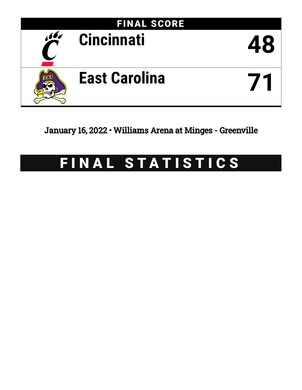

January 16, 2022 • Williams Arena at Minges - Greenville

# FINAL STATISTICS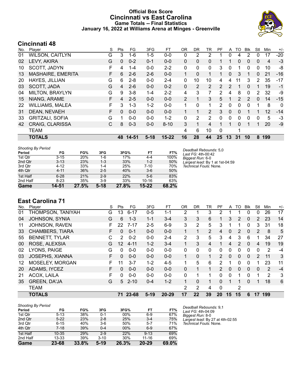### **Official Box Score Cincinnati vs East Carolina Game Totals -- Final Statistics January 16, 2022 at Williams Arena at Minges - Greenville**



# **Cincinnati 48**

| No. | Player                 | S | Pts          | FG       | 3FG      | FT        | <b>OR</b> | DR.            | TR             | PF             | A            | TO            | <b>BIK</b>   | Stl            | Min | $+/-$        |
|-----|------------------------|---|--------------|----------|----------|-----------|-----------|----------------|----------------|----------------|--------------|---------------|--------------|----------------|-----|--------------|
| 01  | <b>WILSON, CAITLYN</b> | G | 3            | $1 - 6$  | $1-5$    | $0 - 0$   | 0         | 2              | 2              |                | 0            | 4             | 2            | 0              | 17  | $-20$        |
| 02  | LEVY, AKIRA            | G | $\mathbf{0}$ | $0 - 2$  | $0 - 1$  | $0-0$     | 0         | 0              | 0              |                |              | 0             | 0            | 0              | 4   | $-3$         |
| 10  | SCOTT, JADYN           | F | 4            | $1 - 4$  | $0 - 0$  | $2 - 2$   | 0         | 0              | 0              | 3              | 0            |               | 0            | 0              | 10  | -8           |
| 13  | MASHAIRE, EMERITA      | F | 6            | $2-6$    | $2-6$    | $0 - 0$   |           | $\Omega$       |                |                | $\mathbf{0}$ | 3             |              | 0              | 21  | $-16$        |
| 20  | HAYES, JILLIAN         | G | 6            | $2 - 8$  | $0 - 0$  | $2 - 4$   | 0         | 10             | 10             | 4              | 4            | 11            | 3            | 2              | 35  | -17          |
| 03  | SCOTT, JADA            | G | 4            | $2-6$    | $0 - 0$  | $0 - 2$   | 0         | $\overline{2}$ | $\overline{2}$ | $\overline{2}$ | 2            |               | $\mathbf{0}$ |                | 19  | $-1$         |
| 04  | <b>MILTON, BRAYLYN</b> | G | 9            | $3 - 8$  | $1 - 4$  | $2 - 2$   | 4         | 3              | 7              | 2              | 4            | 8             | $\mathbf 0$  | $\overline{2}$ | 32  | -9           |
| 15  | NIANG, ARAME           | F | 4            | $2 - 5$  | $0 - 0$  | $0 - 0$   | 2         | 1              | 3              | 5              |              | $\mathcal{P}$ | 2            | 0              | 14  | $-15$        |
| 22  | <b>WILLIAMS, MALEA</b> | F | 3            | $1 - 3$  | $1 - 2$  | $0 - 0$   | 1         | 0              | 1              | 2              | 0            | 0             | 0            | 1              | 8   | $\mathbf{0}$ |
| 31  | DEAN, NEVAEH           | F | $\Omega$     | $0 - 0$  | $0 - 0$  | $0 - 0$   |           | 1              | 2              | 3              | 0            | $\Omega$      |              |                | 12  | $-14$        |
| 33  | <b>GRITZALI, SOFIA</b> | G | 1            | $0 - 0$  | $0 - 0$  | $1 - 2$   | 0         | 2              | 2              | 0              | 0            | 0             | $\Omega$     | 0              | 5   | $-3$         |
| 42  | <b>CRAIG, CLARISSA</b> | С | 8            | $0 - 3$  | $0 - 0$  | $8 - 10$  | 3         | 1              | 4              |                |              | 0             |              | 1              | 20  | $-9$         |
|     | <b>TEAM</b>            |   |              |          |          |           | 4         | 6              | 10             | $\Omega$       |              | 1             |              |                |     |              |
|     | <b>TOTALS</b>          |   |              | 48 14-51 | $5 - 18$ | $15 - 22$ | 16        | 28             | 44             | 25             | 13           | 31            | 10           | 8              | 199 |              |

| <b>Shooting By Period</b> |           |       |         |       |           |       | Deadball Rebounds: 5,0          |
|---------------------------|-----------|-------|---------|-------|-----------|-------|---------------------------------|
| Period                    | FG        | FG%   | 3FG     | 3FG%  | FT        | FT%   | Last FG: 4th-00:42              |
| 1st Qtr                   | $3 - 15$  | 20%   | 1-6     | 17%   | $4 - 4$   | 100%  | Biggest Run: 6-0                |
| 2nd Qtr                   | $3 - 13$  | 23%   | $1 - 3$ | 33%   | $1 - 2$   | 50%   | Largest lead: By 1 at 1st-04:59 |
| 3rd Qtr                   | $4 - 12$  | 33%   | $1 - 4$ | 25%   | 7-10      | 70%   | Technical Fouls: None.          |
| 4th Qtr                   | $4 - 11$  | 36%   | $2 - 5$ | 40%   | $3-6$     | 50%   |                                 |
| 1st Half                  | $6 - 28$  | 21%   | $2-9$   | 22%   | $5-6$     | 83%   |                                 |
| 2nd Half                  | $8 - 23$  | 35%   | $3-9$   | 33%   | $10 - 16$ | 63%   |                                 |
| Game                      | $14 - 51$ | 27.5% | $5-18$  | 27.8% | $15 - 22$ | 68.2% |                                 |

**East Carolina 71**

| No. | Player                 | S  | Pts      | FG       | 3FG     | FT        | 0R | DR | TR       | PF            | A        | TO | <b>B</b> lk  | Stl      | Min            | $+/-$ |
|-----|------------------------|----|----------|----------|---------|-----------|----|----|----------|---------------|----------|----|--------------|----------|----------------|-------|
| 01  | THOMPSON, TANIYAH      | G  | 13       | $6 - 17$ | $0 - 5$ | 1-1       | 2  |    | 3        | 2             |          |    | 0            | 0        | 26             | 17    |
| 04  | <b>JOHNSON, SYNIA</b>  | G  | 6        | $1 - 3$  | $1 - 1$ | $3 - 4$   | 3  | 3  | 6        |               | 3        | 2  | 0            | 2        | 23             | 14    |
| 11  | JOHNSON, RAVEN         | F  | 22       | $7 - 17$ | $2 - 5$ | $6-9$     | 3  | 2  | 5        | 3             | 1        |    | 0            | 3        | 31             | 18    |
| 33  | <b>CHAMBERS, TIARA</b> | F  | 0        | $0 - 1$  | $0 - 0$ | $0 - 0$   |    |    | 2        | 4             | 0        | 2  | $\mathbf{0}$ | 2        | 8              | 5     |
| 55  | <b>BENNETT, TYLAR</b>  | С  | 2        | $0 - 2$  | $0 - 0$ | $2 - 4$   | 2  | 3  | 5        | 3             | 4        | 3  | 6            |          | 34             | 27    |
| 00  | ROSE, ALEXSIA          | G  | 12       | $4 - 11$ | $1 - 2$ | $3 - 4$   | 1  | 3  | 4        |               | 4        | 2  | $\mathbf{0}$ | 4        | 19             | 19    |
| 02  | LYONS, PAIGE           | G  | 0        | $0 - 0$  | $0 - 0$ | $0 - 0$   | 0  | 0  | $\Omega$ | $\Omega$      | 0        | 0  | $\mathbf{0}$ | $\Omega$ | 2              | $-4$  |
| 03  | <b>JOSEPHS, XIANNA</b> | F. | 0        | $0 - 0$  | $0 - 0$ | $0 - 0$   | 1  | 0  | 1        | $\mathcal{P}$ | $\Omega$ | 0  | $\Omega$     | 2        | 11             | 3     |
| 12  | MOSELEY, MORGAN        | F  | 11       | $3 - 7$  | $1 - 2$ | $4 - 5$   | 1  | 5  | 6        | 2             | 1        | 0  | $\Omega$     |          | 23             | 11    |
| 20  | ADAMS, IYCEZ           | F  | $\Omega$ | $0 - 0$  | $0 - 0$ | $0 - 0$   | 0  |    | 1        | $\mathcal{P}$ | 0        | 0  | $\mathbf{0}$ | 0        | 2              | $-4$  |
| 21  | ACOX, LAILA            | F  | 0        | $0 - 0$  | $0 - 0$ | $0 - 0$   | 0  |    |          | 0             | 0        |    | $\Omega$     |          | $\overline{2}$ | 3     |
| 35  | <b>GREEN, DA'JA</b>    | G  | 5        | $2 - 10$ | $0 - 4$ | $1 - 2$   |    | 0  |          | 0             |          |    | $\Omega$     |          | 18             | 6     |
|     | <b>TEAM</b>            |    |          |          |         |           | 2  | 2  | 4        | $\Omega$      |          | 2  |              |          |                |       |
|     | <b>TOTALS</b>          |    | 71       | 23-68    | $5-19$  | $20 - 29$ | 17 | 22 | 39       | 20            | 15       | 15 | 6            | 17       | 199            |       |

| <b>Shooting By Period</b> |           |       |          |       |           |       |
|---------------------------|-----------|-------|----------|-------|-----------|-------|
| Period                    | FG        | FG%   | 3FG      | 3FG%  | FT        | FT%   |
| 1st Qtr                   | $5 - 13$  | 38%   | $0 - 1$  | 00%   | $6-9$     | 67%   |
| 2nd Qtr                   | $5 - 22$  | 23%   | $2 - 8$  | 25%   | $3 - 4$   | 75%   |
| 3rd Qtr                   | $6 - 15$  | 40%   | $3-6$    | 50%   | $5 - 7$   | 71%   |
| 4th Qtr                   | $7-18$    | 39%   | $0 - 4$  | 00%   | $6-9$     | 67%   |
| 1st Half                  | $10 - 35$ | 29%   | $2-9$    | 22%   | $9 - 13$  | 69%   |
| 2nd Half                  | $13 - 33$ | 39%   | $3 - 10$ | 30%   | $11 - 16$ | 69%   |
| Game                      | 23-68     | 33.8% | $5-19$   | 26.3% | $20 - 29$ | 69.0% |

*Deadball Rebounds:* 9,1 *Last FG:* 4th-04:09 *Biggest Run:* 8-0 *Largest lead:* By 27 at 4th-02:55 *Technical Fouls:* None.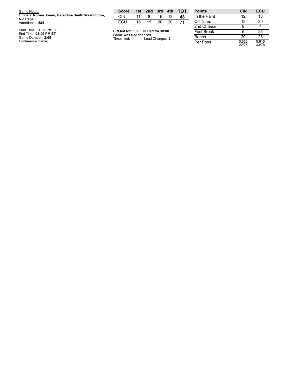| Game Notes:                                                              | <b>Score</b>                             |    | 1st 2nd 3rd     |    | 4th | тот | <b>Points</b>     |
|--------------------------------------------------------------------------|------------------------------------------|----|-----------------|----|-----|-----|-------------------|
| Officials: Norma Jones, Geraldine Smith Washington,<br><b>Nic Capell</b> | <b>CIN</b>                               | 11 | 8               | 16 | 13  | 48  | In the Paint      |
| Attendance: 584                                                          | ECU                                      | 16 | 15              | 20 | 20  | 71  | Off Turns         |
|                                                                          |                                          |    |                 |    |     |     | 2nd Chance        |
| Start Time: 01:02 PM ET<br>End Time: 03:09 PM ET                         | CIN led for 0:06. ECU led for 38:08.     |    |                 |    |     |     | <b>Fast Break</b> |
| Game Duration: 2:06                                                      | Game was tied for 1:29.<br>Times tied: 1 |    | Lead Changes: 2 |    |     |     | <b>Bench</b>      |
| Conference Game;                                                         |                                          |    |                 |    |     |     | Per Poss          |

| <b>Points</b> | <b>CIN</b>     | <b>ECU</b>     |
|---------------|----------------|----------------|
| In the Paint  | 12             | 18             |
| Off Turns     | 13             | 30             |
| 2nd Chance    | 9              | 4              |
| Fast Break    | 5              | 25             |
| Bench         | 29             | 28             |
| Per Poss      | 0.632<br>22/76 | 0.910<br>33/78 |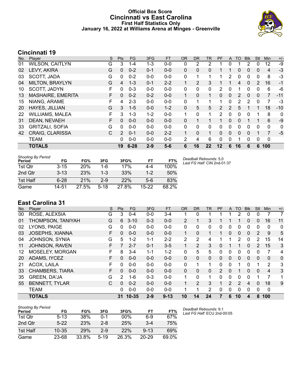### **Official Box Score Cincinnati vs East Carolina First Half Statistics Only January 16, 2022 at Williams Arena at Minges - Greenville**



# **Cincinnati 19**

| No. | Player                 | S  | <b>Pts</b>     | <b>FG</b> | 3FG     | <b>FT</b> | <b>OR</b> | <b>DR</b>    | TR | <b>PF</b> | A        | <b>TO</b> | <b>Blk</b>   | Stl      | <b>Min</b>     | $+/-$ |
|-----|------------------------|----|----------------|-----------|---------|-----------|-----------|--------------|----|-----------|----------|-----------|--------------|----------|----------------|-------|
| 01  | <b>WILSON, CAITLYN</b> | G  | 3              | $1 - 4$   | 1-3     | $0-0$     | 0         | 2            | 2  |           | 0        |           | 2            | 0        | 12             | -9    |
| 02  | LEVY, AKIRA            | G  | $\mathbf{0}$   | $0 - 2$   | $0 - 1$ | $0 - 0$   | 0         | $\mathbf{0}$ | 0  |           |          | 0         | $\Omega$     | $\Omega$ | 4              | $-3$  |
| 03  | SCOTT, JADA            | G  | 0              | $0 - 2$   | $0 - 0$ | $0 - 0$   | 0         | 1            | 1  | 1         | 2        | 0         | $\mathbf{0}$ | 0        | 8              | $-3$  |
| 04  | MILTON, BRAYLYN        | G  | 4              | $1 - 3$   | $0 - 1$ | $2 - 2$   |           | 2            | 3  |           |          | 4         | $\Omega$     | 2        | 16             | $-1$  |
| 10  | SCOTT, JADYN           | F  | 0              | $0 - 3$   | $0 - 0$ | $0 - 0$   | 0         | 0            | 0  | 2         | 0        | 1         | 0            | 0        | 6              | -6    |
| 13  | MASHAIRE, EMERITA      | F. | $\mathbf{0}$   | $0 - 2$   | $0 - 2$ | $0 - 0$   | 1.        | $\Omega$     | 1  | $\Omega$  | $\Omega$ | 2         | $\Omega$     | 0        | $\overline{7}$ | $-11$ |
| 15  | NIANG, ARAME           | F  | 4              | $2 - 3$   | $0 - 0$ | $0 - 0$   | 0         | 1            | 1  | 1         | 0        | 2         | 2            | 0        | 7              | -3    |
| 20  | HAYES, JILLIAN         | G  | 3              | $1 - 5$   | $0 - 0$ | $1 - 2$   | 0         | 5            | 5  | 2         | 2        | 5         |              | 1        | 18             | $-10$ |
| 22  | <b>WILLIAMS, MALEA</b> | F  | 3              | $1 - 3$   | $1 - 2$ | $0 - 0$   | 1         | $\Omega$     | 1  | 2         | 0        | 0         | 0            | 1        | 8              | 0     |
| 31  | DEAN, NEVAEH           | F. | $\Omega$       | $0 - 0$   | $0 - 0$ | $0 - 0$   | 0         | 1            |    | 1         | 0        | $\Omega$  |              | 1        | 6              | $-9$  |
| 33  | <b>GRITZALI, SOFIA</b> | G  | 0              | $0 - 0$   | $0 - 0$ | $0 - 0$   | 0         | 0            | 0  | 0         | 0        | $\Omega$  | $\Omega$     | $\Omega$ | 0              | 0     |
| 42  | <b>CRAIG, CLARISSA</b> | C. | $\overline{2}$ | $0 - 1$   | $0 - 0$ | $2 - 2$   |           | $\Omega$     | 1  | 0         | 0        | $\Omega$  | $\Omega$     | 1        | 7              | $-5$  |
|     | <b>TEAM</b>            |    | 0              | $0 - 0$   | $0 - 0$ | $0 - 0$   | 2         | 4            | 6  | $\Omega$  | 0        |           | 0            | 0        | 0              |       |
|     | <b>TOTALS</b>          |    | 19             | $6 - 28$  | $2 - 9$ | $5-6$     | 6         | 16           | 22 | 12        | 6        | 16        | 6            | 6        | 100            |       |

| <b>Shooting By Period</b> |          |            |         |       |         |       |
|---------------------------|----------|------------|---------|-------|---------|-------|
| Period                    | FG       | FG%        | 3FG     | 3FG%  | FT      | FT%   |
| 1st Otr                   | $3 - 15$ | <b>20%</b> | 1-6     | 17%   | 4-4     | 100%  |
| 2nd Otr                   | $3 - 13$ | 23%        | $1 - 3$ | 33%   | $1 - 2$ | 50%   |
| 1st Half                  | 6-28     | 21%        | $2-9$   | 22%   | $5-6$   | 83%   |
| Game                      | 14-51    | 27.5%      | $5-18$  | 27.8% | $15-22$ | 68.2% |

*Deadball Rebounds:* 5,0 *Last FG Half:* CIN 2nd-01:37

### **East Carolina 31**

| No. | Player                 | S  | <b>Pts</b>    | FG        | 3FG     | <b>FT</b> | <b>OR</b>      | <b>DR</b> | TR       | PF            | A            | TO | <b>B</b> lk  | Stl      | Min            | $+/-$       |
|-----|------------------------|----|---------------|-----------|---------|-----------|----------------|-----------|----------|---------------|--------------|----|--------------|----------|----------------|-------------|
| 00  | ROSE, ALEXSIA          | G  | 3             | $0 - 4$   | $0 - 0$ | $3 - 4$   | 1              | 0         |          |               |              | 2  | 0            |          |                | 7           |
| 01  | THOMPSON, TANIYAH      | G  | 6             | $3 - 10$  | $0 - 3$ | $0 - 0$   | $\overline{2}$ |           | 3        |               |              |    | $\Omega$     | $\Omega$ | 16             | 11          |
| 02  | LYONS, PAIGE           | G  | 0             | $0 - 0$   | $0 - 0$ | $0 - 0$   | 0              | 0         | $\Omega$ | 0             | 0            | 0  | $\mathbf{0}$ | 0        | 0              | 0           |
| 03  | <b>JOSEPHS, XIANNA</b> | F  | 0             | $0 - 0$   | $0 - 0$ | $0 - 0$   |                | 0         |          |               | $\mathbf{0}$ | 0  | $\Omega$     | 2        | 9              | 5           |
| 04  | JOHNSON, SYNIA         | G  | 5.            | $1 - 2$   | $1 - 1$ | $2 - 2$   | 2              | 2         | 4        |               |              | 2  | $\mathbf{0}$ | 2        | 15             | 14          |
| 11  | <b>JOHNSON, RAVEN</b>  | F  | 7             | $2 - 7$   | $0 - 1$ | $3 - 5$   |                | 2         | 3        | 0             |              |    | $\Omega$     | 2        | 15             | 3           |
| 12  | MOSELEY, MORGAN        | F. | 8             | $3 - 4$   | $1 - 1$ | $1 - 2$   | 0              | 5         | 5        | $\Omega$      | 0            | 0  | $\Omega$     | 0        | 7              | 4           |
| 20  | ADAMS, IYCEZ           | F  | 0             | $0 - 0$   | $0 - 0$ | $0 - 0$   | $\Omega$       | $\Omega$  | $\Omega$ | 0             | 0            | 0  | $\Omega$     | $\Omega$ | 0              | $\mathbf 0$ |
| 21  | ACOX, LAILA            | F  | 0             | $0 - 0$   | $0 - 0$ | $0 - 0$   | 0              |           | 1        | 0             | 0            |    | 0            |          | 2              | 3           |
| 33  | <b>CHAMBERS, TIARA</b> | F  | 0             | $0 - 0$   | $0 - 0$ | $0 - 0$   | $\Omega$       | 0         | $\Omega$ | $\mathcal{P}$ | $\Omega$     | 1  | $\Omega$     | $\Omega$ | $\overline{4}$ | 3           |
| 35  | <b>GREEN, DA'JA</b>    | G  | $\mathcal{P}$ | $1 - 6$   | $0 - 3$ | $0 - 0$   | 1              | 0         | 1        | $\Omega$      | 0            | 0  | $\Omega$     |          | 7              | 1           |
| 55  | <b>BENNETT, TYLAR</b>  | C  | 0             | $0 - 2$   | $0 - 0$ | $0 - 0$   | 1.             | 2         | 3        | 1             | 2            | 2  | 4            | $\Omega$ | 18             | 9           |
|     | <b>TEAM</b>            |    | 0             | $0 - 0$   | $0 - 0$ | $0-0$     |                |           | 2        | 0             | 0            | 0  | $\mathbf{0}$ | $\Omega$ | 0              |             |
|     | <b>TOTALS</b>          |    | 31            | $10 - 35$ | $2 - 9$ | $9 - 13$  | 10             | 14        | 24       | 7             | 6            | 10 | 4            | 8        | 100            |             |

| <b>Shooting By Period</b> |          |       |          |       |          |       |
|---------------------------|----------|-------|----------|-------|----------|-------|
| Period                    | FG       | FG%   | 3FG      | 3FG%  | FT       | FT%   |
| 1st Otr                   | $5 - 13$ | 38%   | $0 - 1$  | 00%   | 6-9      | 67%   |
| 2nd Qtr                   | $5-22$   | 23%   | $2 - 8$  | 25%   | $3 - 4$  | 75%   |
| 1st Half                  | 10-35    | 29%   | $2-9$    | 22%   | $9 - 13$ | 69%   |
| Game                      | 23-68    | 33.8% | $5 - 19$ | 26.3% | 20-29    | 69.0% |

*Deadball Rebounds:* 9,1 *Last FG Half:* ECU 2nd-00:05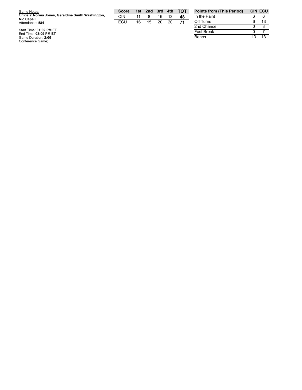| Game Notes:                                                              | <b>Score</b> |    | 1st 2nd 3rd 4th |    |    | <b>TOT</b> |
|--------------------------------------------------------------------------|--------------|----|-----------------|----|----|------------|
| Officials: Norma Jones, Geraldine Smith Washington,<br><b>Nic Capell</b> | CIN          |    |                 | 16 | 13 | 48         |
| Attendance: 584                                                          | FCU          | 16 | 15              | 20 | 20 | 71         |
| $C$ <sub>tort</sub> Time: 04:02 DM ET                                    |              |    |                 |    |    |            |

| <b>Points from (This Period)</b> |     | <b>CIN ECU</b> |
|----------------------------------|-----|----------------|
| In the Paint                     |     |                |
| Off Turns                        | ี   | 13             |
| 2nd Chance                       | O   |                |
| <b>Fast Break</b>                |     |                |
| Bench                            | 1.3 | 13             |

Start Time: 01:02 PM ET<br>End Time: 03:09 PM ET<br>Game Duration: 2:06<br>Conference Game;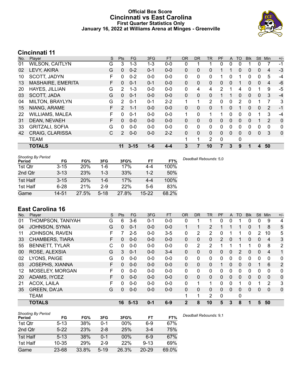### **Official Box Score Cincinnati vs East Carolina First Quarter Statistics Only January 16, 2022 at Williams Arena at Minges - Greenville**



# **Cincinnati 11**

| No. | Player                   | S | <b>Pts</b>     | <b>FG</b> | 3FG     | <b>FT</b> | 0R           | <b>DR</b>    | TR | PF | A            | TO | <b>Blk</b> | <b>Stl</b>   | Min            | $+/-$        |
|-----|--------------------------|---|----------------|-----------|---------|-----------|--------------|--------------|----|----|--------------|----|------------|--------------|----------------|--------------|
| 01  | <b>WILSON, CAITLYN</b>   | G | 3              | $1 - 3$   | $1 - 3$ | $0-0$     | 0            |              |    | 0  | 0            | 0  |            | 0            | 7              | $-1$         |
| 02  | LEVY, AKIRA              | G | $\mathbf{0}$   | $0 - 2$   | $0 - 1$ | $0 - 0$   | $\mathbf{0}$ | 0            | 0  |    |              | 0  | 0          | $\mathbf{0}$ | 4              | $-3$         |
| 10  | SCOTT, JADYN             | F | 0              | $0 - 2$   | $0 - 0$ | $0-0$     | $\mathbf{0}$ | 0            | 0  |    | 0            |    | 0          | $\mathbf 0$  | 5              | $-4$         |
| 13  | <b>MASHAIRE, EMERITA</b> | F | $\mathbf{0}$   | $0 - 1$   | $0 - 1$ | $0-0$     | $\mathbf{0}$ | $\mathbf{0}$ | 0  | 0  | $\mathbf{0}$ |    | 0          | $\mathbf{0}$ | 4              | $-6$         |
| 20  | HAYES, JILLIAN           | G | 2              | $1 - 3$   | $0 - 0$ | $0-0$     | $\mathbf{0}$ | 4            | 4  | 2  |              | 4  | 0          | 1            | 9              | $-5$         |
| 03  | SCOTT, JADA              | G | $\Omega$       | $0 - 1$   | $0 - 0$ | $0-0$     | $\mathbf{0}$ | $\mathbf{0}$ | 0  |    |              | 0  | 0          | $\mathbf{0}$ | 3              | $-4$         |
| 04  | MILTON, BRAYLYN          | G | $\mathcal{P}$  | $0 - 1$   | $0 - 1$ | $2 - 2$   | 1            | 1            | 2  | 0  | $\mathbf{0}$ | 2  | 0          | 1            | 7              | 3            |
| 15  | NIANG, ARAME             | F | $\overline{2}$ | $1 - 1$   | $0 - 0$ | $0-0$     | $\mathbf{0}$ | $\Omega$     | 0  |    | $\Omega$     |    | 0          | $\mathbf{0}$ | 2              | $-1$         |
| 22  | <b>WILLIAMS, MALEA</b>   | F | 0              | $0 - 1$   | $0 - 0$ | $0-0$     | 1            | $\Omega$     | 1  | 1  | $\Omega$     | 0  | 0          | 1            | 3              | $-4$         |
| 31  | DEAN, NEVAEH             | F | $\Omega$       | $0 - 0$   | $0 - 0$ | $0 - 0$   | $\mathbf{0}$ | $\mathbf{0}$ | 0  | 0  | $\Omega$     | 0  | 0          |              | $\overline{2}$ | 0            |
| 33  | <b>GRITZALI, SOFIA</b>   | G | $\Omega$       | $0 - 0$   | $0 - 0$ | $0 - 0$   | $\Omega$     | $\Omega$     | 0  | 0  | $\Omega$     | 0  | 0          | $\Omega$     | $\Omega$       | $\mathbf{0}$ |
| 42  | <b>CRAIG, CLARISSA</b>   | C | $\mathcal{P}$  | $0 - 0$   | $0 - 0$ | $2 - 2$   | $\mathbf{0}$ | $\mathbf{0}$ | 0  | 0  | $\Omega$     | 0  | 0          | $\mathbf{0}$ | 3              | $\mathbf 0$  |
|     | <b>TEAM</b>              |   |                |           |         |           | 1            | 1            | 2  | 0  |              | 0  |            |              |                |              |
|     | <b>TOTALS</b>            |   | 11             | $3 - 15$  | $1 - 6$ | $4 - 4$   | 3            |              | 10 |    | 3            | 9  |            | 4            | 50             |              |

| <b>Shooting By Period</b><br>Period | FG       | FG%   | 3FG      | 3FG%  | FТ      | FT%   |
|-------------------------------------|----------|-------|----------|-------|---------|-------|
| 1st Qtr                             | $3 - 15$ | 20%   | 1-6      | 17%   | 4-4     | 100%  |
| 2nd Qtr                             | $3 - 13$ | 23%   | $1 - 3$  | 33%   | $1 - 2$ | 50%   |
| 1st Half                            | $3 - 15$ | 20%   | $1 - 6$  | 17%   | $4 - 4$ | 100%  |
| 1st Half                            | $6 - 28$ | 21%   | $2-9$    | 22%   | $5-6$   | 83%   |
| Game                                | 14-51    | 27.5% | $5 - 18$ | 27.8% | $15-22$ | 68.2% |

*Deadball Rebounds:* 5,0

# **East Carolina 16**

| No. | Plaver                 | S  | Pts      | <b>FG</b> | 3FG     | <b>FT</b> | <b>OR</b> | <b>DR</b>    | TR             | PF            | A        | TO | <b>Blk</b> | Stl                   | Min         | $+/-$          |
|-----|------------------------|----|----------|-----------|---------|-----------|-----------|--------------|----------------|---------------|----------|----|------------|-----------------------|-------------|----------------|
| 01  | THOMPSON, TANIYAH      | G  | 6        | $3-6$     | $0 - 1$ | $0-0$     | 0         |              |                | 0             | 0        |    | 0          | 0                     | 9           | 4              |
| 04  | <b>JOHNSON, SYNIA</b>  | G  | $\Omega$ | $0 - 1$   | $0 - 0$ | $0 - 0$   | 1         | 1            | 2              |               |          | 1  | 0          |                       | 8           | 5              |
| 11  | JOHNSON, RAVEN         | F  |          | $2 - 5$   | $0 - 0$ | $3 - 5$   | 0         | 2            | 2              | 0             |          |    | 0          | $\mathbf{2}^{\prime}$ | 10          | 5              |
| 33  | <b>CHAMBERS, TIARA</b> | F  | $\Omega$ | $0 - 0$   | $0 - 0$ | $0 - 0$   | $\Omega$  | $\Omega$     | $\Omega$       | $\mathcal{P}$ | $\Omega$ | 1  | 0          | $\Omega$              | 4           | 3              |
| 55  | <b>BENNETT, TYLAR</b>  | C  | $\Omega$ | $0 - 0$   | $0 - 0$ | $0-0$     | 0         | 2            | $\overline{2}$ |               |          |    |            | 0                     | 8           | 2              |
| 00  | ROSE, ALEXSIA          | G  | 3        | $0 - 1$   | $0 - 0$ | $3 - 4$   | 0         | $\mathbf{0}$ | 0              | $\Omega$      | 0        | 2  | 0          | $\mathbf{0}$          | 4           | $\mathbf 1$    |
| 02  | LYONS, PAIGE           | G  | $\Omega$ | $0 - 0$   | $0-0$   | $0-0$     | 0         | $\mathbf{0}$ | $\mathbf{0}$   | $\Omega$      | 0        | 0  | 0          | 0                     | 0           | 0              |
| 03  | <b>JOSEPHS, XIANNA</b> | F. | 0        | $0 - 0$   | $0 - 0$ | $0 - 0$   | $\Omega$  | $\Omega$     | $\Omega$       | 1             | $\Omega$ | 0  | 0          |                       | 6           | $\overline{2}$ |
| 12  | MOSELEY, MORGAN        | F. | 0        | $0 - 0$   | $0 - 0$ | $0-0$     | 0         | $\mathbf{0}$ | 0              | $\Omega$      | 0        | 0  | 0          | 0                     | $\mathbf 0$ | 0              |
| 20  | ADAMS, IYCEZ           | F  | $\Omega$ | $0 - 0$   | $0 - 0$ | $0 - 0$   | 0         | $\Omega$     | $\Omega$       | $\Omega$      | $\Omega$ | 0  | 0          | $\Omega$              | $\Omega$    | $\mathbf 0$    |
| 21  | ACOX, LAILA            | F. | $\Omega$ | $0 - 0$   | $0 - 0$ | $0-0$     | 0         | 1            | 1              | 0             | 0        |    | 0          |                       | 2           | 3              |
| 35  | <b>GREEN, DA'JA</b>    | G  | $\Omega$ | $0 - 0$   | $0 - 0$ | $0 - 0$   | 0         | $\Omega$     | $\Omega$       | 0             | $\Omega$ | 0  | 0          | $\Omega$              | $\Omega$    | $\mathbf 0$    |
|     | <b>TEAM</b>            |    |          |           |         |           |           | 1            | 2              | 0             |          | 0  |            |                       |             |                |
|     | <b>TOTALS</b>          |    | 16       | $5 - 13$  | $0 - 1$ | $6 - 9$   | 2         | 8            | 10             | 5             | 3        | 8  |            | 5                     | 50          |                |

| <b>Shooting By Period</b> |           |       |          |       |           |       |
|---------------------------|-----------|-------|----------|-------|-----------|-------|
| Period                    | FG        | FG%   | 3FG      | 3FG%  | FT        | FT%   |
| 1st Qtr                   | $5 - 13$  | 38%   | 0-1      | 00%   | $6-9$     | 67%   |
| 2nd Qtr                   | $5-22$    | 23%   | $2 - 8$  | 25%   | $3 - 4$   | 75%   |
| 1st Half                  | $5 - 13$  | 38%   | $0 - 1$  | 00%   | $6-9$     | 67%   |
| 1st Half                  | $10 - 35$ | 29%   | $2-9$    | 22%   | $9 - 13$  | 69%   |
| Game                      | 23-68     | 33.8% | $5 - 19$ | 26.3% | $20 - 29$ | 69.0% |

*Deadball Rebounds:* 9,1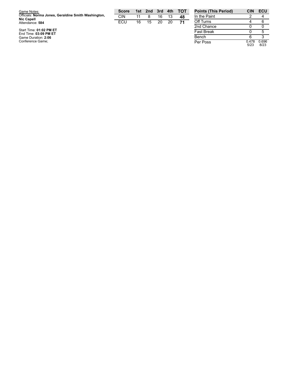| Game Notes:                                                              | <b>Score</b> | 1st | 2nd | -3rd | 4th | <b>- тот</b> | <b>Points (This Period)</b> | CIN   | ECU   |
|--------------------------------------------------------------------------|--------------|-----|-----|------|-----|--------------|-----------------------------|-------|-------|
| Officials: Norma Jones, Geraldine Smith Washington,<br><b>Nic Capell</b> | CIN          | 11  |     | 16   |     | 48           | In the Paint                |       |       |
| Attendance: 584                                                          | ECU          | 16  | 15  | 20   | 20  | 71           | Off Turns                   |       |       |
|                                                                          |              |     |     |      |     |              | 2nd Chance                  |       |       |
| Start Time: 01:02 PM ET<br>End Time: 03:09 PM ET                         |              |     |     |      |     |              | <b>Fast Break</b>           |       |       |
| Game Duration: 2:06                                                      |              |     |     |      |     |              | Bench                       |       |       |
| Conference Game:                                                         |              |     |     |      |     |              | Per Poss                    | 0.478 | 0.696 |

| In the Paint      |               |               |
|-------------------|---------------|---------------|
| Off Turns         |               |               |
| 2nd Chance        | Ω             |               |
| <b>Fast Break</b> | Ω             | 5             |
| Bench             | 6             |               |
| Per Poss          | 0.478<br>5/23 | 0.696<br>8/23 |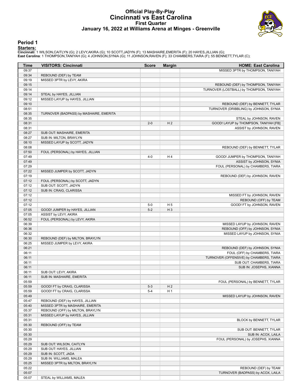### **Official Play-By-Play Cincinnati vs East Carolina First Quarter January 16, 2022 at Williams Arena at Minges - Greenville**



#### **Period 1**

**Starters:**<br>Cincinnati: 1 WILSON,CAITLYN (G); 2 LEVY,AKIRA (G); 10 SCOTT,JADYN (F); 13 MASHAIRE,EMERITA (F); 20 HAYES,JILLIAN (G);<br>East Carolina: 1 THOMPSON,TANIYAH (G); 4 JOHNSON,SYNIA (G); 11 JOHNSON,RAVEN (F); 33 CHAMBE

| Time           | <b>VISITORS: Cincinnati</b>             | <b>Score</b> | <b>Margin</b>  | <b>HOME: East Carolina</b>                                 |
|----------------|-----------------------------------------|--------------|----------------|------------------------------------------------------------|
| 09:37          |                                         |              |                | MISSED 3PTR by THOMPSON, TANIYAH                           |
| 09:34          | REBOUND (DEF) by TEAM                   |              |                |                                                            |
| 09:19          | MISSED 3PTR by LEVY, AKIRA              |              |                |                                                            |
| 09:15          |                                         |              |                | REBOUND (DEF) by THOMPSON, TANIYAH                         |
| 09:14          |                                         |              |                | TURNOVER (LOSTBALL) by THOMPSON, TANIYAH                   |
| 09:14          | STEAL by HAYES, JILLIAN                 |              |                |                                                            |
| 09:12          | MISSED LAYUP by HAYES, JILLIAN          |              |                |                                                            |
| 09:10          |                                         |              |                | REBOUND (DEF) by BENNETT, TYLAR                            |
| 08:51          |                                         |              |                | TURNOVER (DRIBBLING) by JOHNSON, SYNIA                     |
| 08:35          | TURNOVER (BADPASS) by MASHAIRE, EMERITA |              |                |                                                            |
| 08:35          |                                         |              |                | STEAL by JOHNSON, RAVEN                                    |
| 08:31          |                                         | $2 - 0$      | H <sub>2</sub> | GOOD! LAYUP by THOMPSON, TANIYAH [FB]                      |
| 08:31<br>08:27 | SUB OUT: MASHAIRE, EMERITA              |              |                | ASSIST by JOHNSON, RAVEN                                   |
| 08:27          | SUB IN: MILTON, BRAYLYN                 |              |                |                                                            |
| 08:10          | MISSED LAYUP by SCOTT, JADYN            |              |                |                                                            |
| 08:08          |                                         |              |                | REBOUND (DEF) by BENNETT, TYLAR                            |
| 07:50          | FOUL (PERSONAL) by HAYES, JILLIAN       |              |                |                                                            |
| 07:49          |                                         | $4 - 0$      | H <sub>4</sub> | GOOD! JUMPER by THOMPSON, TANIYAH                          |
| 07:49          |                                         |              |                | ASSIST by JOHNSON, SYNIA                                   |
| 07:29          |                                         |              |                | FOUL (PERSONAL) by CHAMBERS, TIARA                         |
| 07:22          | MISSED JUMPER by SCOTT, JADYN           |              |                |                                                            |
| 07:19          |                                         |              |                | REBOUND (DEF) by JOHNSON, RAVEN                            |
| 07:12          | FOUL (PERSONAL) by SCOTT, JADYN         |              |                |                                                            |
| 07:12          | SUB OUT: SCOTT, JADYN                   |              |                |                                                            |
| 07:12          | SUB IN: CRAIG, CLARISSA                 |              |                |                                                            |
| 07:12          |                                         |              |                | MISSED FT by JOHNSON, RAVEN                                |
| 07:12          |                                         |              |                | REBOUND (OFF) by TEAM                                      |
| 07:12          |                                         | $5-0$        | H <sub>5</sub> | GOOD! FT by JOHNSON, RAVEN                                 |
| 07:05          | GOOD! JUMPER by HAYES, JILLIAN          | $5-2$        | $H_3$          |                                                            |
| 07:05          | ASSIST by LEVY, AKIRA                   |              |                |                                                            |
| 06:52          | FOUL (PERSONAL) by LEVY, AKIRA          |              |                |                                                            |
| 06:39          |                                         |              |                | MISSED LAYUP by JOHNSON, RAVEN                             |
| 06:36          |                                         |              |                | REBOUND (OFF) by JOHNSON, SYNIA                            |
| 06:32          |                                         |              |                | MISSED LAYUP by JOHNSON, SYNIA                             |
| 06:30<br>06:25 | REBOUND (DEF) by MILTON, BRAYLYN        |              |                |                                                            |
| 06:21          | MISSED JUMPER by LEVY, AKIRA            |              |                | REBOUND (DEF) by JOHNSON, SYNIA                            |
| 06:11          |                                         |              |                | FOUL (OFF) by CHAMBERS, TIARA                              |
| 06:11          |                                         |              |                | TURNOVER (OFFENSIVE) by CHAMBERS, TIARA                    |
| 06:11          |                                         |              |                | SUB OUT: CHAMBERS, TIARA                                   |
| 06:11          |                                         |              |                | SUB IN: JOSEPHS, XIANNA                                    |
| 06:11          | SUB OUT: LEVY, AKIRA                    |              |                |                                                            |
| 06:11          | SUB IN: MASHAIRE, EMERITA               |              |                |                                                            |
| 05:59          |                                         |              |                | FOUL (PERSONAL) by BENNETT, TYLAR                          |
| 05:59          | GOOD! FT by CRAIG, CLARISSA             | $5-3$        | H <sub>2</sub> |                                                            |
| 05:59          | GOOD! FT by CRAIG, CLARISSA             | $5 - 4$      | H <sub>1</sub> |                                                            |
| 05:49          |                                         |              |                | MISSED LAYUP by JOHNSON, RAVEN                             |
| 05:47          | REBOUND (DEF) by HAYES, JILLIAN         |              |                |                                                            |
| 05:40          | MISSED 3PTR by MASHAIRE, EMERITA        |              |                |                                                            |
| 05:37          | REBOUND (OFF) by MILTON, BRAYLYN        |              |                |                                                            |
| 05:31          | MISSED LAYUP by HAYES, JILLIAN          |              |                |                                                            |
| 05:31          |                                         |              |                | BLOCK by BENNETT, TYLAR                                    |
| 05:30          | REBOUND (OFF) by TEAM                   |              |                |                                                            |
| 05:30          |                                         |              |                | SUB OUT: BENNETT, TYLAR                                    |
| 05:30          |                                         |              |                | SUB IN: ACOX, LAILA                                        |
| 05:29          |                                         |              |                | FOUL (PERSONAL) by JOSEPHS, XIANNA                         |
| 05:29          | SUB OUT: WILSON, CAITLYN                |              |                |                                                            |
| 05:29          | SUB OUT: HAYES, JILLIAN                 |              |                |                                                            |
| 05:29          | SUB IN: SCOTT, JADA                     |              |                |                                                            |
| 05:29          | SUB IN: WILLIAMS, MALEA                 |              |                |                                                            |
| 05:25          | MISSED 3PTR by MILTON, BRAYLYN          |              |                |                                                            |
| 05:22<br>05:07 |                                         |              |                | REBOUND (DEF) by TEAM<br>TURNOVER (BADPASS) by ACOX, LAILA |
| 05:07          | STEAL by WILLIAMS, MALEA                |              |                |                                                            |
|                |                                         |              |                |                                                            |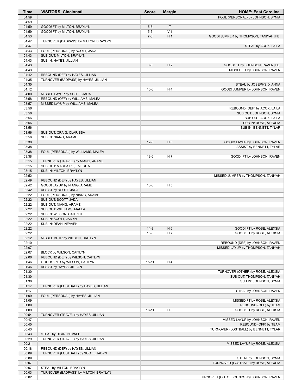| Time           | <b>VISITORS: Cincinnati</b>                                     | <b>Score</b> | <b>Margin</b>  | <b>HOME: East Carolina</b>                                      |
|----------------|-----------------------------------------------------------------|--------------|----------------|-----------------------------------------------------------------|
| 04:59          |                                                                 |              |                | FOUL (PERSONAL) by JOHNSON, SYNIA                               |
| 04:59          |                                                                 |              |                |                                                                 |
| 04:59          | GOOD! FT by MILTON, BRAYLYN                                     | $5-5$        | T.             |                                                                 |
| 04:59          | GOOD! FT by MILTON, BRAYLYN                                     | $5-6$        | V <sub>1</sub> |                                                                 |
| 04:53          |                                                                 | $7-6$        | H <sub>1</sub> | GOOD! JUMPER by THOMPSON, TANIYAH [FB]                          |
| 04:47          | TURNOVER (BADPASS) by MILTON, BRAYLYN                           |              |                |                                                                 |
| 04:47          |                                                                 |              |                | STEAL by ACOX, LAILA                                            |
| 04:43          | FOUL (PERSONAL) by SCOTT, JADA                                  |              |                |                                                                 |
| 04:43          | SUB OUT: MILTON, BRAYLYN                                        |              |                |                                                                 |
| 04:43          | SUB IN: HAYES, JILLIAN                                          |              |                |                                                                 |
| 04:43          |                                                                 | $8-6$        | H <sub>2</sub> | GOOD! FT by JOHNSON, RAVEN [FB]                                 |
| 04:43          |                                                                 |              |                | MISSED FT by JOHNSON, RAVEN                                     |
| 04:42          | REBOUND (DEF) by HAYES, JILLIAN                                 |              |                |                                                                 |
| 04:35          | TURNOVER (BADPASS) by HAYES, JILLIAN                            |              |                |                                                                 |
| 04:35          |                                                                 |              |                | STEAL by JOSEPHS, XIANNA                                        |
| 04:12          |                                                                 | $10-6$       | H4             | GOOD! JUMPER by JOHNSON, RAVEN                                  |
| 04:00          | MISSED LAYUP by SCOTT, JADA                                     |              |                |                                                                 |
| 03:58          | REBOUND (OFF) by WILLIAMS, MALEA                                |              |                |                                                                 |
| 03:57          | MISSED LAYUP by WILLIAMS, MALEA                                 |              |                |                                                                 |
| 03:56          |                                                                 |              |                | REBOUND (DEF) by ACOX, LAILA                                    |
| 03:56          |                                                                 |              |                | SUB OUT: JOHNSON, SYNIA                                         |
| 03:56          |                                                                 |              |                | SUB OUT: ACOX, LAILA                                            |
| 03:56          |                                                                 |              |                | SUB IN: ROSE, ALEXSIA                                           |
| 03:56          |                                                                 |              |                | SUB IN: BENNETT, TYLAR                                          |
| 03:56          | SUB OUT: CRAIG, CLARISSA                                        |              |                |                                                                 |
| 03:56          | SUB IN: NIANG, ARAME                                            |              |                |                                                                 |
| 03:38          |                                                                 | $12-6$       | H <sub>6</sub> | GOOD! LAYUP by JOHNSON, RAVEN                                   |
| 03:38          |                                                                 |              |                | ASSIST by BENNETT, TYLAR                                        |
| 03:38<br>03:38 | FOUL (PERSONAL) by WILLIAMS, MALEA                              |              |                |                                                                 |
| 03:15          |                                                                 | $13-6$       | H 7            | GOOD! FT by JOHNSON, RAVEN                                      |
| 03:15          | TURNOVER (TRAVEL) by NIANG, ARAME<br>SUB OUT: MASHAIRE, EMERITA |              |                |                                                                 |
| 03:15          | SUB IN: MILTON, BRAYLYN                                         |              |                |                                                                 |
| 02:52          |                                                                 |              |                | MISSED JUMPER by THOMPSON, TANIYAH                              |
| 02:49          | REBOUND (DEF) by HAYES, JILLIAN                                 |              |                |                                                                 |
| 02:42          | GOOD! LAYUP by NIANG, ARAME                                     | $13 - 8$     | H <sub>5</sub> |                                                                 |
| 02:42          | ASSIST by SCOTT, JADA                                           |              |                |                                                                 |
| 02:22          | FOUL (PERSONAL) by NIANG, ARAME                                 |              |                |                                                                 |
| 02:22          | SUB OUT: SCOTT, JADA                                            |              |                |                                                                 |
| 02:22          | SUB OUT: NIANG, ARAME                                           |              |                |                                                                 |
| 02:22          | SUB OUT: WILLIAMS, MALEA                                        |              |                |                                                                 |
| 02:22          | SUB IN: WILSON, CAITLYN                                         |              |                |                                                                 |
| 02:22          | SUB IN: SCOTT, JADYN                                            |              |                |                                                                 |
| 02:22          | SUB IN: DEAN, NEVAEH                                            |              |                |                                                                 |
| 02:22          |                                                                 | $14 - 8$     | H <sub>6</sub> | GOOD! FT by ROSE, ALEXSIA                                       |
| 02:22          |                                                                 | $15 - 8$     | H 7            | GOOD! FT by ROSE, ALEXSIA                                       |
| 02:12          | MISSED 3PTR by WILSON, CAITLYN                                  |              |                |                                                                 |
| 02:10          |                                                                 |              |                | REBOUND (DEF) by JOHNSON, RAVEN                                 |
| 02:07          |                                                                 |              |                | MISSED LAYUP by THOMPSON, TANIYAH                               |
| 02:07          | BLOCK by WILSON, CAITLYN                                        |              |                |                                                                 |
| 02:06          | REBOUND (DEF) by WILSON, CAITLYN                                |              |                |                                                                 |
| 01:46          | GOOD! 3PTR by WILSON, CAITLYN                                   | $15 - 11$    | H4             |                                                                 |
| 01:46          | ASSIST by HAYES, JILLIAN                                        |              |                |                                                                 |
| 01:30          |                                                                 |              |                | TURNOVER (OTHER) by ROSE, ALEXSIA                               |
| 01:30          |                                                                 |              |                | SUB OUT: THOMPSON, TANIYAH                                      |
| 01:30          |                                                                 |              |                | SUB IN: JOHNSON, SYNIA                                          |
| 01:17          | TURNOVER (LOSTBALL) by HAYES, JILLIAN                           |              |                |                                                                 |
| 01:17          |                                                                 |              |                | STEAL by JOHNSON, RAVEN                                         |
| 01:09          | FOUL (PERSONAL) by HAYES, JILLIAN                               |              |                |                                                                 |
| 01:09          |                                                                 |              |                | MISSED FT by ROSE, ALEXSIA                                      |
| 01:09          |                                                                 |              |                | REBOUND (OFF) by TEAM                                           |
| 01:09          |                                                                 | $16 - 11$    | H <sub>5</sub> | GOOD! FT by ROSE, ALEXSIA                                       |
| 00:54          | TURNOVER (TRAVEL) by HAYES, JILLIAN                             |              |                |                                                                 |
| 00:47          |                                                                 |              |                | MISSED LAYUP by JOHNSON, RAVEN                                  |
| 00:45          |                                                                 |              |                | REBOUND (OFF) by TEAM                                           |
| 00:43          |                                                                 |              |                | TURNOVER (LOSTBALL) by BENNETT, TYLAR                           |
| 00:43          | STEAL by DEAN, NEVAEH                                           |              |                |                                                                 |
| 00:29          | TURNOVER (TRAVEL) by HAYES, JILLIAN                             |              |                |                                                                 |
| 00:21          |                                                                 |              |                | MISSED LAYUP by ROSE, ALEXSIA                                   |
| 00:18          | REBOUND (DEF) by HAYES, JILLIAN                                 |              |                |                                                                 |
| 00:09          | TURNOVER (LOSTBALL) by SCOTT, JADYN                             |              |                |                                                                 |
| 00:09<br>00:07 |                                                                 |              |                | STEAL by JOHNSON, SYNIA<br>TURNOVER (LOSTBALL) by ROSE, ALEXSIA |
| 00:07          | STEAL by MILTON, BRAYLYN                                        |              |                |                                                                 |
| 00:03          | TURNOVER (BADPASS) by MILTON, BRAYLYN                           |              |                |                                                                 |
| 00:02          |                                                                 |              |                | TURNOVER (OUTOFBOUNDS) by JOHNSON, RAVEN                        |
|                |                                                                 |              |                |                                                                 |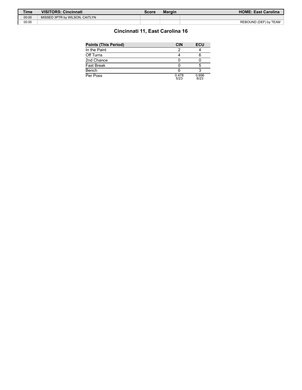| <b>Time</b> | <b>VISITORS: Cincinnati</b>    | Score | <b>Margin</b> | <b>HOME: East Carolina</b> |
|-------------|--------------------------------|-------|---------------|----------------------------|
| 00:00       | MISSED 3PTR by WILSON, CAITLYN |       |               |                            |
| 00:00       |                                |       |               | REBOUND (DEF) by TEAM      |

# **Cincinnati 11, East Carolina 16**

| <b>Points (This Period)</b> | <b>CIN</b>    | <b>ECU</b>    |
|-----------------------------|---------------|---------------|
| In the Paint                |               |               |
| Off Turns                   |               |               |
| 2nd Chance                  |               |               |
| Fast Break                  |               |               |
| Bench                       |               |               |
| Per Poss                    | 0.478<br>5/23 | 0.696<br>8/23 |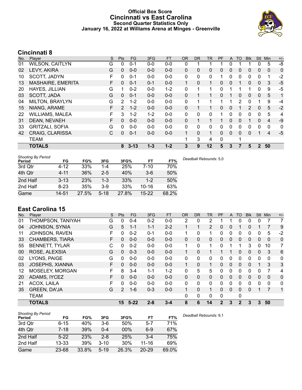### **Official Box Score Cincinnati vs East Carolina Second Quarter Statistics Only January 16, 2022 at Williams Arena at Minges - Greenville**



# **Cincinnati 8**

| No. | Player                   | S | <b>Pts</b>   | <b>FG</b> | 3FG     | <b>FT</b> | 0R           | <b>DR</b> | TR           | PF | A            | TO | <b>Blk</b>     | <b>Stl</b>   | Min      | $+/-$        |
|-----|--------------------------|---|--------------|-----------|---------|-----------|--------------|-----------|--------------|----|--------------|----|----------------|--------------|----------|--------------|
| 01  | <b>WILSON, CAITLYN</b>   | G | 0            | $0 - 1$   | $0 - 0$ | $0-0$     | 0            |           |              |    | 0            |    |                | 0            | 5        | $-8$         |
| 02  | LEVY, AKIRA              | G | $\mathbf{0}$ | $0 - 0$   | $0 - 0$ | $0 - 0$   | $\mathbf{0}$ | 0         | 0            | 0  | $\mathbf{0}$ | 0  | 0              | $\mathbf{0}$ | 0        | 0            |
| 10  | SCOTT, JADYN             | F | 0            | $0 - 1$   | $0 - 0$ | $0-0$     | $\mathbf{0}$ | 0         | 0            |    | $\mathbf{0}$ | 0  | 0              | $\mathbf 0$  | 1        | $-2$         |
| 13  | <b>MASHAIRE, EMERITA</b> | F | $\mathbf{0}$ | $0 - 1$   | $0 - 1$ | $0-0$     | $\mathbf{1}$ | 0         | $\mathbf{1}$ | 0  | $\mathbf{0}$ |    | 0              | $\mathbf{0}$ | 3        | $-5$         |
| 20  | HAYES, JILLIAN           | G |              | $0 - 2$   | $0 - 0$ | $1 - 2$   | 0            |           | 1            | 0  |              |    |                | 0            | 9        | $-5$         |
| 03  | SCOTT, JADA              | G | $\Omega$     | $0 - 1$   | $0 - 0$ | $0-0$     | $\mathbf{0}$ |           |              | 0  |              | 0  | 0              | $\mathbf{0}$ | 5        | 1            |
| 04  | MILTON, BRAYLYN          | G | 2            | $1 - 2$   | $0 - 0$ | $0 - 0$   | 0            |           | 1            | 1  |              | 2  | 0              |              | 9        | -4           |
| 15  | NIANG, ARAME             | F | 2            | $1 - 2$   | $0 - 0$ | $0-0$     | $\mathbf{0}$ |           | 1            | 0  | $\Omega$     |    | $\overline{2}$ | $\mathbf{0}$ | 5        | $-2$         |
| 22  | <b>WILLIAMS, MALEA</b>   | F | 3            | $1 - 2$   | $1 - 2$ | $0 - 0$   | $\Omega$     | $\Omega$  | 0            | 1  | $\Omega$     | 0  | 0              | $\Omega$     | 5        | 4            |
| 31  | DEAN, NEVAEH             | F | $\Omega$     | $0 - 0$   | $0 - 0$ | $0-0$     | $\mathbf{0}$ |           | 1            |    | $\Omega$     | 0  |                | $\Omega$     | 4        | $-9$         |
| 33  | <b>GRITZALI, SOFIA</b>   | G | $\Omega$     | $0 - 0$   | $0 - 0$ | $0 - 0$   | $\Omega$     | $\Omega$  | 0            | 0  | $\Omega$     | 0  | 0              | $\Omega$     | $\Omega$ | $\mathbf{0}$ |
| 42  | <b>CRAIG, CLARISSA</b>   | C | $\Omega$     | $0 - 1$   | $0 - 0$ | $0-0$     | 1            | $\Omega$  | 1            | 0  | $\Omega$     | 0  | 0              |              | 4        | $-5$         |
|     | <b>TEAM</b>              |   |              |           |         |           | 1            | 3         | 4            | 0  |              | 1  |                |              |          |              |
|     | <b>TOTALS</b>            |   | 8            | $3 - 13$  | $1 - 3$ | $1 - 2$   | 3            | 9         | 12           | 5  | 3            |    | 5              | $\mathbf 2$  | 50       |              |

| <b>Shooting By Period</b><br>Period | FG       | FG%   | 3FG     | 3FG%  | FТ        | FT%   |
|-------------------------------------|----------|-------|---------|-------|-----------|-------|
| 3rd Qtr                             | 4-12     | 33%   | 1-4     | 25%   | $7 - 10$  | 70%   |
| 4th Otr                             | $4 - 11$ | 36%   | $2-5$   | 40%   | $3-6$     | 50%   |
| 2nd Half                            | $3 - 13$ | 23%   | $1 - 3$ | 33%   | $1 - 2$   | 50%   |
| 2nd Half                            | $8-23$   | 35%   | $3-9$   | 33%   | $10 - 16$ | 63%   |
| Game                                | 14-51    | 27.5% | 5-18    | 27.8% | $15 - 22$ | 68.2% |

*Deadball Rebounds:* 5,0

# **East Carolina 15**

| No. | Plaver                 | S  | <b>Pts</b>    | <b>FG</b> | 3FG     | <b>FT</b> | <b>OR</b>      | <b>DR</b> | TR             | PF             | A        | TO           | <b>Blk</b> | Stl          | Min          | $+/-$        |
|-----|------------------------|----|---------------|-----------|---------|-----------|----------------|-----------|----------------|----------------|----------|--------------|------------|--------------|--------------|--------------|
| 01  | THOMPSON, TANIYAH      | G  | 0             | $0 - 4$   | $0 - 2$ | $0-0$     | $\overline{2}$ | 0         | 2              |                |          | 0            | 0          | 0            |              | 7            |
| 04  | <b>JOHNSON, SYNIA</b>  | G  | 5             | $1 - 1$   | $1 - 1$ | $2 - 2$   |                | 1         | $\overline{2}$ | $\Omega$       | 0        |              | 0          |              | 7            | 9            |
| 11  | JOHNSON, RAVEN         | F  | 0             | $0 - 2$   | $0 - 1$ | $0-0$     | 1              | 0         |                | 0              | 0        | 0            | $\Omega$   | 0            | 5            | $-2$         |
| 33  | <b>CHAMBERS, TIARA</b> | F. | $\Omega$      | $0 - 0$   | $0 - 0$ | $0 - 0$   | 0              | $\Omega$  | $\mathbf{0}$   | 0              | 0        | $\Omega$     | $\Omega$   | $\mathbf{0}$ | $\mathbf{0}$ | $\mathbf 0$  |
| 55  | <b>BENNETT, TYLAR</b>  | С  | 0             | $0 - 2$   | $0 - 0$ | $0-0$     | 1              | 0         | 1              | 0              |          |              | 3          | $\Omega$     | 10           | 7            |
| 00  | ROSE, ALEXSIA          | G  | $\Omega$      | $0 - 3$   | $0 - 0$ | $0 - 0$   | 1              | $\Omega$  |                |                |          | $\Omega$     | $\Omega$   | $\Omega$     | 3            | 6            |
| 02  | LYONS, PAIGE           | G  | 0             | $0 - 0$   | $0 - 0$ | $0-0$     | 0              | 0         | 0              | 0              | 0        | 0            | $\Omega$   | $\Omega$     | 0            | $\mathbf{0}$ |
| 03  | <b>JOSEPHS, XIANNA</b> | F. | 0             | $0 - 0$   | $0 - 0$ | $0 - 0$   | 1.             | $\Omega$  | 1              | 0              | 0        | $\Omega$     | $\Omega$   | 1            | 3            | 3            |
| 12  | MOSELEY, MORGAN        | F  | 8             | $3 - 4$   | $1 - 1$ | $1 - 2$   | 0              | 5         | 5              | 0              | 0        | 0            | $\Omega$   | 0            | 7            | 4            |
| 20  | ADAMS, IYCEZ           | F  | $\Omega$      | $0 - 0$   | $0 - 0$ | $0 - 0$   | 0              | $\Omega$  | $\Omega$       | 0              | 0        | $\Omega$     | $\Omega$   | $\Omega$     | $\mathbf{0}$ | $\mathbf 0$  |
| 21  | ACOX, LAILA            | F  | 0             | $0 - 0$   | $0 - 0$ | $0-0$     | 0              | 0         | 0              | 0              | $\Omega$ | 0            | $\Omega$   | $\Omega$     | 0            | $\mathbf{0}$ |
| 35  | <b>GREEN, DA'JA</b>    | G  | $\mathcal{P}$ | $1 - 6$   | $0 - 3$ | $0 - 0$   | 1              | $\Omega$  | $\mathbf{1}$   | 0              | 0        | $\Omega$     | $\Omega$   | 1            | 7            | 1            |
|     | <b>TEAM</b>            |    |               |           |         |           | 0              | 0         | 0              | 0              |          | 0            |            |              |              |              |
|     | <b>TOTALS</b>          |    | 15            | $5 - 22$  | $2 - 8$ | $3 - 4$   | 8              | 6         | 14             | $\overline{2}$ | 3        | $\mathbf{2}$ | 3          | 3            | 50           |              |

| <b>Shooting By Period</b> |           |       |          |       |           |       |
|---------------------------|-----------|-------|----------|-------|-----------|-------|
| Period                    | FG        | FG%   | 3FG      | 3FG%  | FT        | FT%   |
| 3rd Qtr                   | $6 - 15$  | 40%   | $3-6$    | 50%   | $5 - 7$   | 71%   |
| 4th Qtr                   | $7 - 18$  | 39%   | $0 - 4$  | 00%   | $6-9$     | 67%   |
| 2nd Half                  | $5-22$    | 23%   | $2 - 8$  | 25%   | $3 - 4$   | 75%   |
| 2nd Half                  | $13 - 33$ | 39%   | $3 - 10$ | 30%   | 11-16     | 69%   |
| Game                      | 23-68     | 33.8% | $5 - 19$ | 26.3% | $20 - 29$ | 69.0% |

*Deadball Rebounds:* 9,1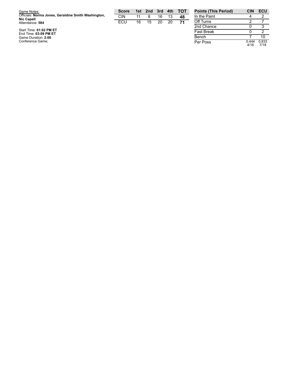| Game Notes:                                         | <b>Score</b> | 1st | 2nd | 3rd | 4th | <b>- тот</b> | <b>Points (This Period)</b> | <b>CIN</b> | ECU |
|-----------------------------------------------------|--------------|-----|-----|-----|-----|--------------|-----------------------------|------------|-----|
| Officials: Norma Jones, Geraldine Smith Washington, | <b>CIN</b>   |     |     | 16  |     | 48           | In the Paint                |            |     |
| <b>Nic Capell</b><br>Attendance: 584                | ECU          | 16  | 15  | 20  | 20  | 71           | Off Turns                   |            |     |
|                                                     |              |     |     |     |     |              | 2nd Chance                  |            |     |
| Start Time: 01:02 PM ET<br>End Time: 03:09 PM ET    |              |     |     |     |     |              | <b>Fast Break</b>           |            |     |
| Game Duration: 2:06                                 |              |     |     |     |     |              | <b>Bench</b>                |            |     |

4 2 2 7 0 3  $\begin{array}{c} 0 \\ 7 \end{array}$ 2 Bench 10 Per Poss 0.4 4 4 4 / 1 8 0.8 3 3 7 / 1 8

Game Duration: 2:06<br>Conference Game;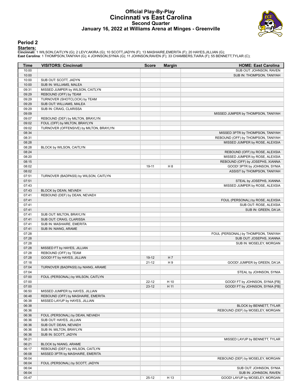### **Official Play-By-Play Cincinnati vs East Carolina Second Quarter January 16, 2022 at Williams Arena at Minges - Greenville**



#### **Period 2**

**Starters:**<br>Cincinnati: 1 WILSON,CAITLYN (G); 2 LEVY,AKIRA (G); 10 SCOTT,JADYN (F); 13 MASHAIRE,EMERITA (F); 20 HAYES,JILLIAN (G);<br>East Carolina: 1 THOMPSON,TANIYAH (G); 4 JOHNSON,SYNIA (G); 11 JOHNSON,RAVEN (F); 33 CHAMBE

| Time           | <b>VISITORS: Cincinnati</b>                                | <b>Score</b> | <b>Margin</b>  | <b>HOME: East Carolina</b>           |
|----------------|------------------------------------------------------------|--------------|----------------|--------------------------------------|
| 10:00          |                                                            |              |                | SUB OUT: JOHNSON, RAVEN              |
| 10:00          |                                                            |              |                | SUB IN: THOMPSON, TANIYAH            |
| 10:00          | SUB OUT: SCOTT, JADYN                                      |              |                |                                      |
| 10:00          | SUB IN: WILLIAMS, MALEA                                    |              |                |                                      |
| 09:31          | MISSED JUMPER by WILSON, CAITLYN                           |              |                |                                      |
| 09:29          | REBOUND (OFF) by TEAM                                      |              |                |                                      |
| 09:29          | TURNOVER (SHOTCLOCK) by TEAM                               |              |                |                                      |
| 09:29          | SUB OUT: WILLIAMS, MALEA                                   |              |                |                                      |
| 09:29          | SUB IN: CRAIG, CLARISSA                                    |              |                |                                      |
| 09:09          |                                                            |              |                | MISSED JUMPER by THOMPSON, TANIYAH   |
| 09:07          | REBOUND (DEF) by MILTON, BRAYLYN                           |              |                |                                      |
| 09:02          | FOUL (OFF) by MILTON, BRAYLYN                              |              |                |                                      |
| 09:02          | TURNOVER (OFFENSIVE) by MILTON, BRAYLYN                    |              |                |                                      |
| 08:34          |                                                            |              |                | MISSED 3PTR by THOMPSON, TANIYAH     |
| 08:31          |                                                            |              |                | REBOUND (OFF) by THOMPSON, TANIYAH   |
| 08:28          |                                                            |              |                | MISSED JUMPER by ROSE, ALEXSIA       |
| 08:28          | BLOCK by WILSON, CAITLYN                                   |              |                |                                      |
| 08:24          |                                                            |              |                | REBOUND (OFF) by ROSE, ALEXSIA       |
| 08:20          |                                                            |              |                | MISSED JUMPER by ROSE, ALEXSIA       |
| 08:15          |                                                            |              |                | REBOUND (OFF) by JOSEPHS, XIANNA     |
| 08:02          |                                                            | 19-11        | H 8            | GOOD! 3PTR by JOHNSON, SYNIA         |
| 08:02          |                                                            |              |                | ASSIST by THOMPSON, TANIYAH          |
| 07:51          | TURNOVER (BADPASS) by WILSON, CAITLYN                      |              |                |                                      |
| 07:51          |                                                            |              |                | STEAL by JOSEPHS, XIANNA             |
| 07:43          |                                                            |              |                | MISSED JUMPER by ROSE, ALEXSIA       |
| 07:43          | BLOCK by DEAN, NEVAEH                                      |              |                |                                      |
| 07:41          | REBOUND (DEF) by DEAN, NEVAEH                              |              |                |                                      |
| 07:41          |                                                            |              |                | FOUL (PERSONAL) by ROSE, ALEXSIA     |
| 07:41          |                                                            |              |                | SUB OUT: ROSE, ALEXSIA               |
| 07:41          |                                                            |              |                | SUB IN: GREEN, DA'JA                 |
| 07:41          | SUB OUT: MILTON, BRAYLYN                                   |              |                |                                      |
| 07:41          | SUB OUT: CRAIG, CLARISSA                                   |              |                |                                      |
| 07:41          | SUB IN: MASHAIRE, EMERITA                                  |              |                |                                      |
| 07:41          | SUB IN: NIANG, ARAME                                       |              |                |                                      |
| 07:28          |                                                            |              |                | FOUL (PERSONAL) by THOMPSON, TANIYAH |
| 07:28          |                                                            |              |                | SUB OUT: JOSEPHS, XIANNA             |
| 07:28          |                                                            |              |                | SUB IN: MOSELEY, MORGAN              |
| 07:28          | MISSED FT by HAYES, JILLIAN                                |              |                |                                      |
| 07:28          | REBOUND (OFF) by TEAM                                      |              |                |                                      |
| 07:28          | GOOD! FT by HAYES, JILLIAN                                 | $19-12$      | H 7            |                                      |
| 07:18          |                                                            | $21 - 12$    | H <sub>9</sub> | GOOD! JUMPER by GREEN, DA'JA         |
| 07:04          | TURNOVER (BADPASS) by NIANG, ARAME                         |              |                |                                      |
| 07:04          |                                                            |              |                | STEAL by JOHNSON, SYNIA              |
| 07:00          | FOUL (PERSONAL) by WILSON, CAITLYN                         |              |                |                                      |
| 07:00          |                                                            | $22 - 12$    | H 10           | GOOD! FT by JOHNSON, SYNIA [FB]      |
| 07:00          |                                                            | $23-12$      | H 11           | GOOD! FT by JOHNSON, SYNIA [FB]      |
| 06:50          | MISSED JUMPER by HAYES, JILLIAN                            |              |                |                                      |
| 06:48          | REBOUND (OFF) by MASHAIRE, EMERITA                         |              |                |                                      |
| 06:38          | MISSED LAYUP by HAYES, JILLIAN                             |              |                |                                      |
| 06:38          |                                                            |              |                | BLOCK by BENNETT, TYLAR              |
| 06:36          |                                                            |              |                | REBOUND (DEF) by MOSELEY, MORGAN     |
|                |                                                            |              |                |                                      |
| 06:36<br>06:36 | FOUL (PERSONAL) by DEAN, NEVAEH<br>SUB OUT: HAYES, JILLIAN |              |                |                                      |
|                | SUB OUT: DEAN, NEVAEH                                      |              |                |                                      |
| 06:36          |                                                            |              |                |                                      |
| 06:36          | SUB IN: MILTON, BRAYLYN                                    |              |                |                                      |
| 06:36          | SUB IN: SCOTT, JADYN                                       |              |                |                                      |
| 06:21          |                                                            |              |                | MISSED LAYUP by BENNETT, TYLAR       |
| 06:21          | BLOCK by NIANG, ARAME                                      |              |                |                                      |
| 06:17          | REBOUND (DEF) by WILSON, CAITLYN                           |              |                |                                      |
| 06:08          | MISSED 3PTR by MASHAIRE, EMERITA                           |              |                |                                      |
| 06:04          |                                                            |              |                | REBOUND (DEF) by MOSELEY, MORGAN     |
| 06:04          | FOUL (PERSONAL) by SCOTT, JADYN                            |              |                |                                      |
| 06:04          |                                                            |              |                | SUB OUT: JOHNSON, SYNIA              |
| 06:04          |                                                            |              |                | SUB IN: JOHNSON, RAVEN               |
| 05:47          |                                                            | $25-12$      | H 13           | GOOD! LAYUP by MOSELEY, MORGAN       |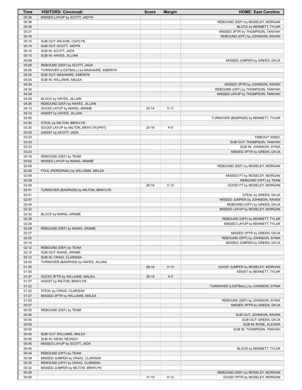| Time           | <b>VISITORS: Cincinnati</b>                             | <b>Score</b> | <b>Margin</b> | <b>HOME: East Carolina</b>                         |
|----------------|---------------------------------------------------------|--------------|---------------|----------------------------------------------------|
| 05:36          | MISSED LAYUP by SCOTT, JADYN                            |              |               |                                                    |
| 05:36          |                                                         |              |               | REBOUND (DEF) by MOSELEY, MORGAN                   |
| 05:36          |                                                         |              |               | BLOCK by BENNETT, TYLAR                            |
| 05:21          |                                                         |              |               | MISSED 3PTR by THOMPSON, TANIYAH                   |
| 05:16          |                                                         |              |               | REBOUND (OFF) by JOHNSON, RAVEN                    |
| 05:15          | SUB OUT: WILSON, CAITLYN                                |              |               |                                                    |
| 05:15          | SUB OUT: SCOTT, JADYN                                   |              |               |                                                    |
| 05:15          | SUB IN: SCOTT, JADA                                     |              |               |                                                    |
| 05:15          | SUB IN: HAYES, JILLIAN                                  |              |               |                                                    |
| 05:09          |                                                         |              |               | MISSED JUMPER by GREEN, DA'JA                      |
| 05:06          | REBOUND (DEF) by SCOTT, JADA                            |              |               |                                                    |
| 05:00          | TURNOVER (LOSTBALL) by MASHAIRE, EMERITA                |              |               |                                                    |
| 05:00          | SUB OUT: MASHAIRE, EMERITA                              |              |               |                                                    |
| 05:00          | SUB IN: WILLIAMS, MALEA                                 |              |               |                                                    |
| 04:34          |                                                         |              |               | MISSED 3PTR by JOHNSON, RAVEN                      |
| 04:30          |                                                         |              |               | REBOUND (OFF) by THOMPSON, TANIYAH                 |
| 04:29          |                                                         |              |               | MISSED LAYUP by THOMPSON, TANIYAH                  |
| 04:29          | BLOCK by HAYES, JILLIAN                                 |              |               |                                                    |
| 04:26<br>04:13 | REBOUND (DEF) by HAYES, JILLIAN                         | $25 - 14$    | H 11          |                                                    |
| 04:13          | GOOD! LAYUP by NIANG, ARAME<br>ASSIST by HAYES, JILLIAN |              |               |                                                    |
| 03:55          |                                                         |              |               | TURNOVER (BADPASS) by BENNETT, TYLAR               |
| 03:55          | STEAL by MILTON, BRAYLYN                                |              |               |                                                    |
| 03:35          | GOOD! LAYUP by MILTON, BRAYLYN [PNT]                    | $25-16$      | H 9           |                                                    |
| 03:35          | ASSIST by SCOTT, JADA                                   |              |               |                                                    |
| 03:33          |                                                         |              |               | TIMEOUT 30SEC                                      |
| 03:33          |                                                         |              |               | SUB OUT: THOMPSON, TANIYAH                         |
| 03:33          |                                                         |              |               | SUB IN: JOHNSON, SYNIA                             |
| 03:23          |                                                         |              |               | MISSED 3PTR by GREEN, DA'JA                        |
| 03:18          | REBOUND (DEF) by TEAM                                   |              |               |                                                    |
| 03:02          | MISSED LAYUP by NIANG, ARAME                            |              |               |                                                    |
| 02:59          |                                                         |              |               | REBOUND (DEF) by MOSELEY, MORGAN                   |
| 02:59          | FOUL (PERSONAL) by WILLIAMS, MALEA                      |              |               |                                                    |
| 02:59          |                                                         |              |               | MISSED FT by MOSELEY, MORGAN                       |
| 02:59          |                                                         |              |               | REBOUND (OFF) by TEAM                              |
| 02:59          |                                                         | $26-16$      | H 10          | GOOD! FT by MOSELEY, MORGAN                        |
| 02:51          | TURNOVER (BADPASS) by MILTON, BRAYLYN                   |              |               |                                                    |
| 02:51          |                                                         |              |               | STEAL by GREEN, DA'JA                              |
| 02:47          |                                                         |              |               | MISSED JUMPER by JOHNSON, RAVEN                    |
| 02:45          |                                                         |              |               | REBOUND (OFF) by GREEN, DA'JA                      |
| 02:32          |                                                         |              |               | MISSED LAYUP by MOSELEY, MORGAN                    |
| 02:32          | BLOCK by NIANG, ARAME                                   |              |               |                                                    |
| 02:28          |                                                         |              |               | REBOUND (OFF) by BENNETT, TYLAR                    |
| 02:28          |                                                         |              |               | MISSED LAYUP by BENNETT, TYLAR                     |
| 02:28          | REBOUND (DEF) by NIANG, ARAME                           |              |               |                                                    |
| 02:27          |                                                         |              |               | MISSED 3PTR by GREEN, DA'JA                        |
| 02:25          |                                                         |              |               | REBOUND (OFF) by JOHNSON, SYNIA                    |
| 02:15          |                                                         |              |               | MISSED JUMPER by GREEN, DA'JA                      |
| 02:12          | REBOUND (DEF) by TEAM                                   |              |               |                                                    |
| 02:12          | SUB OUT: NIANG, ARAME                                   |              |               |                                                    |
| 02:12          | SUB IN: CRAIG, CLARISSA                                 |              |               |                                                    |
| 02:03          | TURNOVER (BADPASS) by HAYES, JILLIAN                    |              |               |                                                    |
| 01:50          |                                                         | $28-16$      | H 12          | GOOD! JUMPER by MOSELEY, MORGAN                    |
| 01:50          |                                                         |              |               | ASSIST by BENNETT, TYLAR                           |
| 01:37          | GOOD! 3PTR by WILLIAMS, MALEA                           | 28-19        | H9            |                                                    |
| 01:37          | ASSIST by MILTON, BRAYLYN                               |              |               |                                                    |
| 01:22          |                                                         |              |               | TURNOVER (LOSTBALL) by JOHNSON, SYNIA              |
| 01:22          | STEAL by CRAIG, CLARISSA                                |              |               |                                                    |
| 01:07          | MISSED 3PTR by WILLIAMS, MALEA                          |              |               |                                                    |
| 01:03          |                                                         |              |               | REBOUND (DEF) by JOHNSON, SYNIA                    |
| 00:57          |                                                         |              |               | MISSED 3PTR by GREEN, DA'JA                        |
| 00:55          | REBOUND (DEF) by TEAM                                   |              |               |                                                    |
| 00:55          |                                                         |              |               | SUB OUT: JOHNSON, RAVEN                            |
| 00:55          |                                                         |              |               | SUB OUT: GREEN, DA'JA                              |
| 00:55<br>00:55 |                                                         |              |               | SUB IN: ROSE, ALEXSIA<br>SUB IN: THOMPSON, TANIYAH |
|                |                                                         |              |               |                                                    |
| 00:55<br>00:55 | SUB OUT: WILLIAMS, MALEA<br>SUB IN: DEAN, NEVAEH        |              |               |                                                    |
| 00:45          | MISSED LAYUP by SCOTT, JADA                             |              |               |                                                    |
| 00:45          |                                                         |              |               | BLOCK by BENNETT, TYLAR                            |
| 00:44          | REBOUND (OFF) by TEAM                                   |              |               |                                                    |
| 00:39          | MISSED JUMPER by CRAIG, CLARISSA                        |              |               |                                                    |
| 00:35          | REBOUND (OFF) by CRAIG, CLARISSA                        |              |               |                                                    |
| 00:32          | MISSED JUMPER by MILTON, BRAYLYN                        |              |               |                                                    |
| 00:28          |                                                         |              |               | REBOUND (DEF) by MOSELEY, MORGAN                   |
| 00:05          |                                                         | $31 - 19$    | H 12          | GOOD! 3PTR by MOSELEY, MORGAN                      |
|                |                                                         |              |               |                                                    |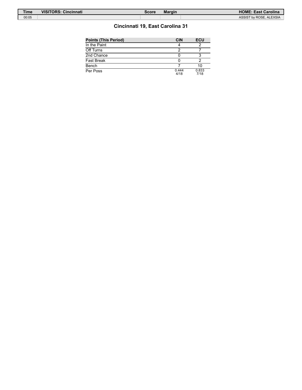| <b>Time</b> | <b>VISITORS: Cincinnati</b> | Score | <b>Margin</b> | <b>HOME: East Carolina</b> |
|-------------|-----------------------------|-------|---------------|----------------------------|
| 00:05       |                             |       |               | ASSIST by ROSE, ALEXSIA    |

# **Cincinnati 19, East Carolina 31**

| <b>Points (This Period)</b> | <b>CIN</b>    | <b>ECU</b>    |
|-----------------------------|---------------|---------------|
| In the Paint                |               |               |
| Off Turns                   |               |               |
| 2nd Chance                  |               |               |
| Fast Break                  |               |               |
| Bench                       |               | 10            |
| Per Poss                    | 0.444<br>4/18 | 0.833<br>7/18 |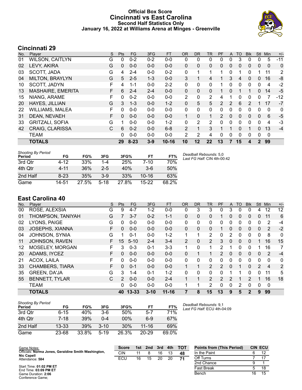### **Official Box Score Cincinnati vs East Carolina Second Half Statistics Only January 16, 2022 at Williams Arena at Minges - Greenville**



# **Cincinnati 29**

| No. | Plaver                   | S  | <b>Pts</b>   | FG       | 3FG     | <b>FT</b> | <b>OR</b>    | <b>DR</b>    | <b>TR</b>    | PF            | A            | <b>TO</b> | <b>Blk</b> | Stl          | Min         | $+/-$ |
|-----|--------------------------|----|--------------|----------|---------|-----------|--------------|--------------|--------------|---------------|--------------|-----------|------------|--------------|-------------|-------|
| 01  | <b>WILSON, CAITLYN</b>   | G  | 0            | $0 - 2$  | $0 - 2$ | $0 - 0$   | 0            | 0            | 0            | 0             | $\Omega$     | 3         | 0          | 0            | 5           | $-11$ |
| 02  | LEVY, AKIRA              | G  | $\mathbf{0}$ | $0 - 0$  | $0 - 0$ | $0 - 0$   | $\mathbf{0}$ | $\mathbf{0}$ | 0            | $\mathbf{0}$  | $\mathbf{0}$ | 0         | 0          | $\mathbf{0}$ | $\Omega$    | 0     |
| 03  | SCOTT, JADA              | G  | 4            | $2 - 4$  | $0 - 0$ | $0 - 2$   | 0            | 1            |              | 1             | $\mathbf{0}$ |           | 0          |              | 11          | 2     |
| 04  | <b>MILTON, BRAYLYN</b>   | G  | 5            | $2 - 5$  | $1 - 3$ | $0 - 0$   | 3            |              | 4            |               | 3            | 4         | 0          | $\mathbf{0}$ | 16          | -8    |
| 10  | SCOTT, JADYN             | F  | 4            | 1-1      | $0 - 0$ | $2 - 2$   | 0            | 0            | 0            | 1             | 0            | 0         | 0          | 0            | 4           | $-2$  |
| 13  | <b>MASHAIRE, EMERITA</b> | F. | 6            | $2 - 4$  | $2 - 4$ | $0 - 0$   | $\mathbf{0}$ | $\mathbf{0}$ | 0            |               | $\mathbf{0}$ |           |            | 0            | 14          | $-5$  |
| 15  | NIANG, ARAME             | F  | 0            | $0 - 2$  | $0 - 0$ | $0 - 0$   | 2            | 0            | 2            | 4             |              | 0         | 0          | 0            |             | $-12$ |
| 20  | HAYES, JILLIAN           | G  | 3            | $1 - 3$  | $0 - 0$ | $1 - 2$   | $\mathbf{0}$ | 5            | 5            | $\mathcal{P}$ | 2            | 6         | 2          |              | 17          | $-7$  |
| 22  | <b>WILLIAMS, MALEA</b>   | F  | 0            | $0 - 0$  | $0 - 0$ | $0 - 0$   | $\mathbf{0}$ | 0            | 0            | 0             | 0            | 0         | 0          | 0            | 0           | 0     |
| 31  | DEAN, NEVAEH             | F  | $\mathbf{0}$ | $0 - 0$  | $0 - 0$ | $0 - 0$   | $\mathbf{1}$ | $\Omega$     | $\mathbf{1}$ | 2             | $\mathbf{0}$ | 0         | 0          | $\Omega$     | 6           | $-5$  |
| 33  | <b>GRITZALI, SOFIA</b>   | G  | 1            | $0 - 0$  | $0 - 0$ | $1 - 2$   | 0            | 2            | 2            | $\Omega$      | $\Omega$     | 0         | 0          | 0            | 4           | $-3$  |
| 42  | CRAIG, CLARISSA          | C  | 6            | $0 - 2$  | $0 - 0$ | $6 - 8$   | 2            |              | 3            |               |              | $\Omega$  | 1          | 0            | 13          | $-4$  |
|     | <b>TEAM</b>              |    | 0            | $0 - 0$  | $0 - 0$ | $0 - 0$   | 2            | 2            | 4            | 0             | $\Omega$     | 0         | 0          | $\Omega$     | $\mathbf 0$ |       |
|     | <b>TOTALS</b>            |    | 29           | $8 - 23$ | $3 - 9$ | $10 - 16$ | 10           | 12           | 22           | 13            |              | 15        | 4          | $\mathbf{2}$ | 99          |       |

| <b>Shooting By Period</b><br>Period | FG       | FG%   | 3FG      | 3FG%  | FT        | FT%   | Dε<br>La |
|-------------------------------------|----------|-------|----------|-------|-----------|-------|----------|
| 3rd Otr                             | 4-12     | 33%   | 1-4      | 25%   | $7 - 10$  | 70%   |          |
| 4th Otr                             | 4-11     | 36%   | $2-5$    | 40%   | $3-6$     | 50%   |          |
| 2nd Half                            | $8 - 23$ | 35%   | $3-9$    | 33%   | $10 - 16$ | 63%   |          |
| Game                                | 14-51    | 27.5% | $5 - 18$ | 27.8% | $15 - 22$ | 68.2% |          |

*Deadball Rebounds:* 5,0 *Last FG Half:* CIN 4th-00:42

# **East Carolina 40**

| No. | Player                 | S  | Pts      | <b>FG</b> | 3FG      | <b>FT</b> | <b>OR</b>      | <b>DR</b> | <b>TR</b>      | PF             | A            | TO           | <b>BIK</b>   | <b>Stl</b>    | Min         | $+/-$ |
|-----|------------------------|----|----------|-----------|----------|-----------|----------------|-----------|----------------|----------------|--------------|--------------|--------------|---------------|-------------|-------|
| 00  | ROSE, ALEXSIA          | G  | 9        | $4 - 7$   | $1 - 2$  | $0 - 0$   | 0              | 3         | 3              | 0              | 3            | 0            | 0            | 4             | 12          | 12    |
| 01  | THOMPSON, TANIYAH      | G  |          | $3 - 7$   | $0 - 2$  | $1 - 1$   | $\mathbf{0}$   | 0         | 0              |                | $\mathbf{0}$ | $\mathbf{0}$ | 0            | $\mathbf{0}$  | 11          | 6     |
| 02  | LYONS, PAIGE           | G  | 0        | $0 - 0$   | $0 - 0$  | $0-0$     | 0              | 0         | 0              | 0              | 0            | 0            | 0            | $\Omega$      | 2           | -4    |
| 03  | <b>JOSEPHS, XIANNA</b> | F  | $\Omega$ | $0 - 0$   | $0 - 0$  | $0 - 0$   | $\Omega$       | $\Omega$  | 0              |                | $\Omega$     | $\Omega$     | 0            | $\Omega$      | 2           | $-2$  |
| 04  | JOHNSON, SYNIA         | G  |          | $0 - 1$   | $0 - 0$  | $1 - 2$   | 1              | 1         | $\overline{2}$ | 0              | 2            | $\Omega$     | 0            | $\Omega$      | 8           | 0     |
| 11  | JOHNSON, RAVEN         | F. | 15       | $5 - 10$  | $2 - 4$  | $3-4$     | $\overline{2}$ | $\Omega$  | $\overline{2}$ | 3              | $\Omega$     | $\Omega$     | 0            |               | 16          | 15    |
| 12  | MOSELEY, MORGAN        | F  | 3        | $0 - 3$   | $0 - 1$  | $3 - 3$   | 1              | 0         | 1              | 2              |              | $\Omega$     | 0            |               | 16          | 7     |
| 20  | ADAMS, IYCEZ           | F  | $\Omega$ | $0 - 0$   | $0 - 0$  | $0 - 0$   | $\mathbf{0}$   |           | 1              | $\overline{2}$ | $\mathbf{0}$ | 0            | 0            | $\Omega$      | 2           | $-4$  |
| 21  | ACOX, LAILA            | F  | $\Omega$ | $0 - 0$   | $0 - 0$  | $0-0$     | 0              | 0         | 0              | 0              | 0            | $\Omega$     | 0            | 0             | $\Omega$    | 0     |
| 33  | <b>CHAMBERS, TIARA</b> | F  | $\Omega$ | $0 - 1$   | $0 - 0$  | $0 - 0$   |                | 1         | 2              | 2              | $\Omega$     | 1            | $\Omega$     | $\mathcal{P}$ | 4           | 2     |
| 35  | <b>GREEN, DA'JA</b>    | G  | 3        | 1-4       | $0 - 1$  | $1 - 2$   | 0              | 0         | 0              | 0              |              | 1            | 0            | 0             | 11          | 5     |
| 55  | <b>BENNETT, TYLAR</b>  | C  | 2        | $0 - 0$   | $0 - 0$  | $2 - 4$   |                | 1         | $\overline{2}$ | 2              | 2            |              | 2            |               | 16          | 18    |
|     | <b>TEAM</b>            |    | $\Omega$ | $0 - 0$   | $0 - 0$  | $0 - 0$   |                | 4         | 2              | 0              | 0            | 2            | 0            | 0             | $\mathbf 0$ |       |
|     | <b>TOTALS</b>          |    | 40       | $13 - 33$ | $3 - 10$ | $11 - 16$ | 7              | 8         | 15             | 13             | 9            | 5            | $\mathbf{2}$ | 9             | 99          |       |

| <b>Shooting By Period</b><br>Period | FG        | FG%             | 3FG      | 3FG%  | FT        | FT%   |
|-------------------------------------|-----------|-----------------|----------|-------|-----------|-------|
| 3rd Otr                             | 6-15      | 40 <sup>%</sup> | $3-6$    | 50%   | $5 - 7$   | 71%   |
| 4th Otr                             | $7 - 18$  | 39%             | $0 - 4$  | 00%   | 6-9       | 67%   |
| 2nd Half                            | $13 - 33$ | 39%             | $3 - 10$ | 30%   | $11 - 16$ | 69%   |
| Game                                | 23-68     | 33.8%           | $5 - 19$ | 26.3% | $20 - 29$ | 69.0% |

*Deadball Rebounds:* 9,1 *Last FG Half:* ECU 4th-04:09

| Game Notes:                                                              | <b>Score</b> | 1st | 2 <sub>nd</sub> | 3rd | 4th | <b>TOT</b> | <b>Points from (This Period)</b> | <b>CIN ECU</b> |
|--------------------------------------------------------------------------|--------------|-----|-----------------|-----|-----|------------|----------------------------------|----------------|
| Officials: Norma Jones, Geraldine Smith Washington,<br><b>Nic Capell</b> | CIN          |     |                 | 16  |     | 48         | In the Paint                     |                |
| Attendance: 584                                                          | ECU          | 16  | 15              | 20  | 20  | 71         | Off Turns                        |                |
|                                                                          |              |     |                 |     |     |            | 2nd Chance                       |                |
| Start Time: 01:02 PM ET<br>$F \cdot T$ . As as put $F$                   |              |     |                 |     |     |            | Fast Break                       |                |

Start Time: **01:02 PM ET** End Time: **03:09 PM ET** Game Duration: **2:06** Conference Game;

| Off Turns  |    |    |
|------------|----|----|
| 2nd Chance | g  |    |
| Fast Break | 5  | 18 |
| Bench      | 16 | 15 |
|            |    |    |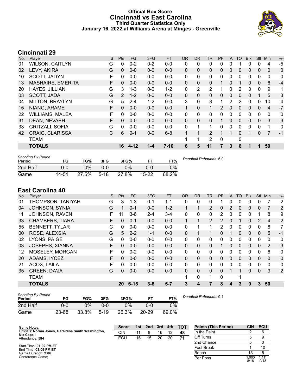### **Official Box Score Cincinnati vs East Carolina Third Quarter Statistics Only January 16, 2022 at Williams Arena at Minges - Greenville**



# **Cincinnati 29**

| No. | Player                 | S | <b>Pts</b> | <b>FG</b> | 3FG     | <b>FT</b> | <b>OR</b>    | DR.          | TR           | <b>PF</b>     | A            | TO       | <b>B</b> lk | Stl      | Min            | $+/-$ |
|-----|------------------------|---|------------|-----------|---------|-----------|--------------|--------------|--------------|---------------|--------------|----------|-------------|----------|----------------|-------|
| 01  | <b>WILSON, CAITLYN</b> | G | 0          | $0 - 2$   | $0 - 2$ | $0 - 0$   | 0            | 0            | 0            | 0             | 0            |          | 0           | 0        | 4              | $-5$  |
| 02  | LEVY, AKIRA            | G | 0          | $0 - 0$   | $0 - 0$ | $0 - 0$   | 0            | $\mathbf{0}$ | 0            | 0             | 0            | 0        | 0           | 0        | 0              | 0     |
| 10  | SCOTT, JADYN           | F | 0          | $0 - 0$   | $0 - 0$ | $0 - 0$   | 0            | 0            | 0            | 0             | 0            | 0        | 0           | 0        | 0              | 0     |
| 13  | MASHAIRE, EMERITA      | F | 0          | $0 - 0$   | $0 - 0$ | $0 - 0$   | 0            | 0            | $\Omega$     |               | $\mathbf{0}$ |          | 0           | 0        | 6              | $-4$  |
| 20  | HAYES, JILLIAN         | G | 3          | $1 - 3$   | $0 - 0$ | $1 - 2$   | 0            | 2            | 2            | 1             | 0            | 2        | 0           | $\Omega$ | 9              | 1     |
| 03  | SCOTT, JADA            | G | 2          | $1 - 2$   | $0 - 0$ | $0 - 0$   | $\mathbf{0}$ | $\mathbf{0}$ | $\mathbf 0$  | $\Omega$      | $\Omega$     | 0        | 0           |          | 5              | 3     |
| 04  | MILTON, BRAYLYN        | G | 5          | $2 - 4$   | $1 - 2$ | $0 - 0$   | 3            | 0            | 3            | 1             | 2            | 2        | 0           | 0        | 10             | $-4$  |
| 15  | NIANG, ARAME           | F | 0          | $0 - 0$   | $0 - 0$ | $0 - 0$   | 1            | $\Omega$     | $\mathbf{1}$ | $\mathcal{P}$ | $\Omega$     | 0        | 0           | 0        | 4              | $-7$  |
| 22  | <b>WILLIAMS, MALEA</b> | F | 0          | $0 - 0$   | $0 - 0$ | $0 - 0$   | 0            | $\Omega$     | $\mathbf{0}$ | $\Omega$      | $\Omega$     | $\Omega$ | 0           | $\Omega$ | $\mathbf 0$    | 0     |
| 31  | DEAN, NEVAEH           | F | $\Omega$   | $0 - 0$   | $0 - 0$ | $0 - 0$   | $\Omega$     | $\Omega$     | $\Omega$     |               | $\Omega$     | $\Omega$ | $\Omega$    | $\Omega$ | 3              | $-3$  |
| 33  | <b>GRITZALI, SOFIA</b> | G | 0          | $0 - 0$   | $0 - 0$ | $0 - 0$   | 0            |              | 1            | 0             | $\Omega$     | 0        | 0           | 0        | 1              | 0     |
| 42  | <b>CRAIG, CLARISSA</b> | C | 6          | $0 - 1$   | $0 - 0$ | $6 - 8$   | 1            |              | 2            |               |              | $\Omega$ |             | 0        | $\overline{7}$ | $-1$  |
|     | <b>TEAM</b>            |   |            |           |         |           |              | 1            | 2            | 0             |              | 0        |             |          |                |       |
|     | <b>TOTALS</b>          |   | 16         | $4 - 12$  | 1-4     | $7 - 10$  | 6            | 5            | 11           |               | 3            | 6        |             |          | 50             |       |

| <b>Shooting By Period</b><br>Period | FG    | FG%   | 3FG    | 3FG%  |           | FT%   | Deadball Rebounds: 5,0 |
|-------------------------------------|-------|-------|--------|-------|-----------|-------|------------------------|
| 2nd Half                            | 0-0   | $0\%$ | 0-0    | $0\%$ | 0-0       | 0%    |                        |
| Game                                | 14-51 | 27.5% | $5-18$ | 27.8% | $15 - 22$ | 68.2% |                        |

# **East Carolina 40**

| No. | Player                 | S  | Pts      | <b>FG</b> | 3FG     | <b>FT</b> | <b>OR</b> | <b>DR</b> | <b>TR</b>      | PF | A        | <b>TO</b> | <b>Blk</b> | Stl         | Min            | $+/-$          |
|-----|------------------------|----|----------|-----------|---------|-----------|-----------|-----------|----------------|----|----------|-----------|------------|-------------|----------------|----------------|
| 01  | THOMPSON, TANIYAH      | G  | 3        | $1 - 3$   | $0 - 1$ | 1-1       | 0         | 0         | 0              |    | 0        | ∩         | 0          | 0           |                | $\overline{2}$ |
| 04  | <b>JOHNSON, SYNIA</b>  | G  |          | $0 - 1$   | $0 - 0$ | $1 - 2$   |           | 1         | $\mathbf{2}$   | 0  | 2        | 0         | 0          | $\mathbf 0$ |                | 2              |
| 11  | JOHNSON, RAVEN         | F  | 11       | $3-6$     | 2-4     | $3 - 4$   | 0         | 0         | 0              | 2  | 0        | $\Omega$  | 0          |             | 8              | 9              |
| 33  | <b>CHAMBERS, TIARA</b> | F. | $\Omega$ | $0 - 1$   | $0 - 0$ | $0 - 0$   | 1         | 1         | $\overline{2}$ | 2  | $\Omega$ |           | $\Omega$   | 2           | $\overline{4}$ | $\overline{2}$ |
| 55  | <b>BENNETT, TYLAR</b>  | С  | $\Omega$ | $0 - 0$   | $0 - 0$ | $0 - 0$   | 0         |           | 1              | 2  | 0        | $\Omega$  | 0          | 0           | 8              | 7              |
| 00  | ROSE, ALEXSIA          | G  | 5        | $2 - 2$   | $1 - 1$ | $0 - 0$   | $\Omega$  |           | 1              | 0  |          | $\Omega$  | $\Omega$   | $\Omega$    | 5              | $-1$           |
| 02  | LYONS, PAIGE           | G  | $\Omega$ | $0 - 0$   | $0 - 0$ | $0 - 0$   | 0         | $\Omega$  | $\mathbf{0}$   | 0  | 0        | 0         | 0          | 0           | 0              | 0              |
| 03  | <b>JOSEPHS, XIANNA</b> | F  | $\Omega$ | $0 - 0$   | $0 - 0$ | $0 - 0$   | $\Omega$  | 0         | $\Omega$       |    | 0        | $\Omega$  | 0          | $\Omega$    | $\overline{2}$ | $-3$           |
| 12  | MOSELEY, MORGAN        | F  | $\Omega$ | $0 - 2$   | $0 - 0$ | $0 - 0$   | 0         | 0         | $\mathbf{0}$   | 0  | 0        | 0         | 0          | 0           | 6              | 0              |
| 20  | ADAMS, IYCEZ           | F  | 0        | $0 - 0$   | $0 - 0$ | $0 - 0$   | $\Omega$  | 0         | $\mathbf{0}$   | 0  | 0        | $\Omega$  | $\Omega$   | $\Omega$    | $\Omega$       | $\mathbf 0$    |
| 21  | ACOX, LAILA            | F  | $\Omega$ | $0 - 0$   | $0 - 0$ | $0-0$     | 0         | 0         | $\mathbf{0}$   | 0  | 0        | $\Omega$  | 0          | $\Omega$    | $\mathbf{0}$   | 0              |
| 35  | <b>GREEN, DA'JA</b>    | G  | 0        | $0 - 0$   | $0 - 0$ | $0 - 0$   | $\Omega$  | 0         | $\Omega$       | 0  |          | 1         | $\Omega$   | $\Omega$    | 3              | 2              |
|     | <b>TEAM</b>            |    |          |           |         |           |           | 0         | 1              | 0  |          | ٠         |            |             |                |                |
|     | <b>TOTALS</b>          |    | 20       | $6 - 15$  | $3 - 6$ | $5 - 7$   | 3         | 4         | 7              | 8  | 4        | 3         | $\bf{0}$   | 3           | 50             |                |

| <b>Shooting By Period</b><br>Period | FG    | FG%   | 3FG      | 3FG%  | FТ        | FT%   |
|-------------------------------------|-------|-------|----------|-------|-----------|-------|
| 2nd Half                            | 0-0   | 0%    | ი-ი      | $2\%$ | 0-0       | 0%    |
| Game                                | 23-68 | 33.8% | $5 - 19$ | 26.3% | $20 - 29$ | 69.0% |

*Deadball Rebounds:* 9,1

| Game Notes:                                         | <b>Score</b> | 1st | 2nd | 3rd | 4th | <b>TOT</b> | <b>Points (This Period)</b> | <b>CIN</b>    | ECU           |
|-----------------------------------------------------|--------------|-----|-----|-----|-----|------------|-----------------------------|---------------|---------------|
| Officials: Norma Jones, Geraldine Smith Washington, | <b>CIN</b>   | 11  |     | 16  | 13  | 48         | In the Paint                |               |               |
| <b>Nic Capell</b><br>Attendance: 584                | ECU          | 16  | 15  | 20  | 20  | 71         | Off Turns                   |               |               |
|                                                     |              |     |     |     |     |            | 2nd Chance                  |               |               |
| Start Time: 01:02 PM ET<br>End Time: 03:09 PM ET    |              |     |     |     |     |            | <b>Fast Break</b>           |               | 10            |
| Game Duration: 2:06                                 |              |     |     |     |     |            | Bench                       |               |               |
| Conference Game:                                    |              |     |     |     |     |            | Per Poss                    | 1.000<br>8/16 | 1.111<br>9/18 |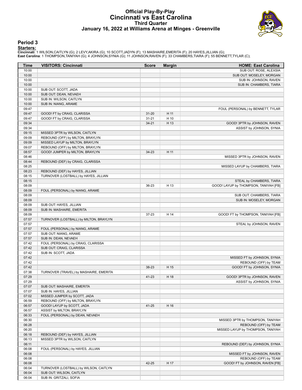#### **Official Play-By-Play Cincinnati vs East Carolina Third Quarter January 16, 2022 at Williams Arena at Minges - Greenville**



#### **Period 3**

**Starters:**<br>Cincinnati: 1 WILSON,CAITLYN (G); 2 LEVY,AKIRA (G); 10 SCOTT,JADYN (F); 13 MASHAIRE,EMERITA (F); 20 HAYES,JILLIAN (G);<br>East Carolina: 1 THOMPSON,TANIYAH (G); 4 JOHNSON,SYNIA (G); 11 JOHNSON,RAVEN (F); 33 CHAMBE

| Time           | <b>VISITORS: Cincinnati</b>                                      | <b>Score</b> | <b>Margin</b> | <b>HOME: East Carolina</b>                               |
|----------------|------------------------------------------------------------------|--------------|---------------|----------------------------------------------------------|
| 10:00          |                                                                  |              |               | SUB OUT: ROSE, ALEXSIA                                   |
| 10:00          |                                                                  |              |               | SUB OUT: MOSELEY, MORGAN                                 |
| 10:00          |                                                                  |              |               | SUB IN: JOHNSON, RAVEN                                   |
| 10:00          |                                                                  |              |               | SUB IN: CHAMBERS, TIARA                                  |
| 10:00          | SUB OUT: SCOTT, JADA                                             |              |               |                                                          |
| 10:00          | SUB OUT: DEAN, NEVAEH                                            |              |               |                                                          |
| 10:00          | SUB IN: WILSON, CAITLYN                                          |              |               |                                                          |
| 10:00          | SUB IN: NIANG, ARAME                                             |              |               |                                                          |
| 09:47          |                                                                  |              |               | FOUL (PERSONAL) by BENNETT, TYLAR                        |
| 09:47          | GOOD! FT by CRAIG, CLARISSA                                      | $31 - 20$    | H 11          |                                                          |
| 09:47<br>09:34 | GOOD! FT by CRAIG, CLARISSA                                      | $31 - 21$    | H 10          |                                                          |
| 09:34          |                                                                  | $34 - 21$    | H 13          | GOOD! 3PTR by JOHNSON, RAVEN<br>ASSIST by JOHNSON, SYNIA |
| 09:15          | MISSED 3PTR by WILSON, CAITLYN                                   |              |               |                                                          |
| 09:09          | REBOUND (OFF) by MILTON, BRAYLYN                                 |              |               |                                                          |
| 09:09          | MISSED LAYUP by MILTON, BRAYLYN                                  |              |               |                                                          |
| 09:07          | REBOUND (OFF) by MILTON, BRAYLYN                                 |              |               |                                                          |
| 08:57          | GOOD! JUMPER by MILTON, BRAYLYN                                  | $34 - 23$    | H 11          |                                                          |
| 08:46          |                                                                  |              |               | MISSED 3PTR by JOHNSON, RAVEN                            |
| 08:44          | REBOUND (DEF) by CRAIG, CLARISSA                                 |              |               |                                                          |
| 08:25          |                                                                  |              |               | MISSED LAYUP by CHAMBERS, TIARA                          |
| 08:23          | REBOUND (DEF) by HAYES, JILLIAN                                  |              |               |                                                          |
| 08:15          | TURNOVER (LOSTBALL) by HAYES, JILLIAN                            |              |               |                                                          |
| 08:15          |                                                                  |              |               | STEAL by CHAMBERS, TIARA                                 |
| 08:09          |                                                                  | 36-23        | H 13          | GOOD! LAYUP by THOMPSON, TANIYAH [FB]                    |
| 08:09          | FOUL (PERSONAL) by NIANG, ARAME                                  |              |               |                                                          |
| 08:09          |                                                                  |              |               | SUB OUT: CHAMBERS, TIARA                                 |
| 08:09          |                                                                  |              |               | SUB IN: MOSELEY, MORGAN                                  |
| 08:09          | SUB OUT: HAYES, JILLIAN                                          |              |               |                                                          |
| 08:09          | SUB IN: MASHAIRE, EMERITA                                        |              |               |                                                          |
| 08:09          |                                                                  | $37 - 23$    | H 14          | GOOD! FT by THOMPSON, TANIYAH [FB]                       |
| 07:57          | TURNOVER (LOSTBALL) by MILTON, BRAYLYN                           |              |               |                                                          |
| 07:57          |                                                                  |              |               | STEAL by JOHNSON, RAVEN                                  |
| 07:57          | FOUL (PERSONAL) by NIANG, ARAME                                  |              |               |                                                          |
| 07:57          | SUB OUT: NIANG, ARAME                                            |              |               |                                                          |
| 07:57          | SUB IN: DEAN, NEVAEH                                             |              |               |                                                          |
| 07:42          | FOUL (PERSONAL) by CRAIG, CLARISSA                               |              |               |                                                          |
| 07:42          | SUB OUT: CRAIG, CLARISSA                                         |              |               |                                                          |
| 07:42          | SUB IN: SCOTT, JADA                                              |              |               |                                                          |
| 07:42          |                                                                  |              |               | MISSED FT by JOHNSON, SYNIA                              |
| 07:42          |                                                                  |              |               | REBOUND (OFF) by TEAM                                    |
| 07:42          |                                                                  | 38-23        | H 15          | GOOD! FT by JOHNSON, SYNIA                               |
| 07:38          | TURNOVER (TRAVEL) by MASHAIRE, EMERITA                           |              |               |                                                          |
| 07:29          |                                                                  | 41-23        | H 18          | GOOD! 3PTR by JOHNSON, RAVEN                             |
| 07:29          |                                                                  |              |               | ASSIST by JOHNSON, SYNIA                                 |
| 07:07          | SUB OUT: MASHAIRE, EMERITA                                       |              |               |                                                          |
| 07:07          | SUB IN: HAYES, JILLIAN                                           |              |               |                                                          |
| 07:02<br>06:59 | MISSED JUMPER by SCOTT, JADA<br>REBOUND (OFF) by MILTON, BRAYLYN |              |               |                                                          |
| 06:57          | GOOD! LAYUP by SCOTT, JADA                                       | 41-25        | H 16          |                                                          |
| 06:57          | ASSIST by MILTON, BRAYLYN                                        |              |               |                                                          |
| 06:33          | FOUL (PERSONAL) by DEAN, NEVAEH                                  |              |               |                                                          |
| 06:30          |                                                                  |              |               | MISSED 3PTR by THOMPSON, TANIYAH                         |
| 06:28          |                                                                  |              |               | REBOUND (OFF) by TEAM                                    |
| 06:20          |                                                                  |              |               | MISSED LAYUP by THOMPSON, TANIYAH                        |
| 06:18          | REBOUND (DEF) by HAYES, JILLIAN                                  |              |               |                                                          |
| 06:13          | MISSED 3PTR by WILSON, CAITLYN                                   |              |               |                                                          |
| 06:11          |                                                                  |              |               | REBOUND (DEF) by JOHNSON, SYNIA                          |
| 06:08          | FOUL (PERSONAL) by HAYES, JILLIAN                                |              |               |                                                          |
| 06:08          |                                                                  |              |               | MISSED FT by JOHNSON, RAVEN                              |
| 06:08          |                                                                  |              |               | REBOUND (OFF) by TEAM                                    |
| 06:08          |                                                                  | 42-25        | H 17          | GOOD! FT by JOHNSON, RAVEN [FB]                          |
| 06:04          | TURNOVER (LOSTBALL) by WILSON, CAITLYN                           |              |               |                                                          |
| 06:04          | SUB OUT: WILSON, CAITLYN                                         |              |               |                                                          |
| 06:04          | SUB IN: GRITZALI, SOFIA                                          |              |               |                                                          |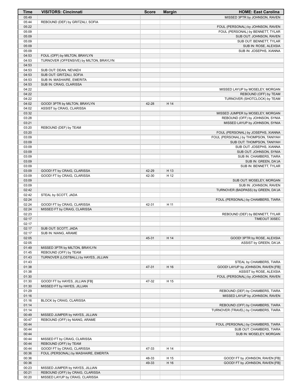| <b>Time</b>    | <b>VISITORS: Cincinnati</b>             | <b>Score</b> | <b>Margin</b> | <b>HOME: East Carolina</b>                                          |
|----------------|-----------------------------------------|--------------|---------------|---------------------------------------------------------------------|
| 05:49          |                                         |              |               | MISSED 3PTR by JOHNSON, RAVEN                                       |
| 05:44          | REBOUND (DEF) by GRITZALI, SOFIA        |              |               |                                                                     |
| 05:22          |                                         |              |               | FOUL (PERSONAL) by JOHNSON, RAVEN                                   |
| 05:09          |                                         |              |               | FOUL (PERSONAL) by BENNETT, TYLAR                                   |
| 05:09          |                                         |              |               | SUB OUT: JOHNSON, RAVEN                                             |
| 05:09<br>05:09 |                                         |              |               | SUB OUT: BENNETT, TYLAR                                             |
| 05:09          |                                         |              |               | SUB IN: ROSE, ALEXSIA<br>SUB IN: JOSEPHS, XIANNA                    |
| 04:53          | FOUL (OFF) by MILTON, BRAYLYN           |              |               |                                                                     |
| 04:53          | TURNOVER (OFFENSIVE) by MILTON, BRAYLYN |              |               |                                                                     |
| 04:53          |                                         |              |               |                                                                     |
| 04:53          | SUB OUT: DEAN, NEVAEH                   |              |               |                                                                     |
| 04:53          | SUB OUT: GRITZALI, SOFIA                |              |               |                                                                     |
| 04:53          | SUB IN: MASHAIRE, EMERITA               |              |               |                                                                     |
| 04:53          | SUB IN: CRAIG, CLARISSA                 |              |               |                                                                     |
| 04:22          |                                         |              |               | MISSED LAYUP by MOSELEY, MORGAN                                     |
| 04:22          |                                         |              |               | REBOUND (OFF) by TEAM                                               |
| 04:22          |                                         |              |               | TURNOVER (SHOTCLOCK) by TEAM                                        |
| 04:02          | GOOD! 3PTR by MILTON, BRAYLYN           | 42-28        | H 14          |                                                                     |
| 04:02          | ASSIST by CRAIG, CLARISSA               |              |               |                                                                     |
| 03:32<br>03:28 |                                         |              |               | MISSED JUMPER by MOSELEY, MORGAN<br>REBOUND (OFF) by JOHNSON, SYNIA |
| 03:21          |                                         |              |               | MISSED LAYUP by JOHNSON, SYNIA                                      |
| 03:20          | REBOUND (DEF) by TEAM                   |              |               |                                                                     |
| 03:20          |                                         |              |               | FOUL (PERSONAL) by JOSEPHS, XIANNA                                  |
| 03:09          |                                         |              |               | FOUL (PERSONAL) by THOMPSON, TANIYAH                                |
| 03:09          |                                         |              |               | SUB OUT: THOMPSON, TANIYAH                                          |
| 03:09          |                                         |              |               | SUB OUT: JOSEPHS, XIANNA                                            |
| 03:09          |                                         |              |               | SUB OUT: JOHNSON, SYNIA                                             |
| 03:09          |                                         |              |               | SUB IN: CHAMBERS, TIARA                                             |
| 03:09          |                                         |              |               | SUB IN: GREEN, DA'JA                                                |
| 03:09          |                                         |              |               | SUB IN: BENNETT, TYLAR                                              |
| 03:09          | GOOD! FT by CRAIG, CLARISSA             | 42-29        | H 13          |                                                                     |
| 03:09          | GOOD! FT by CRAIG, CLARISSA             | 42-30        | H 12          |                                                                     |
| 03:09          |                                         |              |               | SUB OUT: MOSELEY, MORGAN                                            |
| 03:09          |                                         |              |               | SUB IN: JOHNSON, RAVEN                                              |
| 02:42          |                                         |              |               | TURNOVER (BADPASS) by GREEN, DA'JA                                  |
| 02:42<br>02:24 | STEAL by SCOTT, JADA                    |              |               | FOUL (PERSONAL) by CHAMBERS, TIARA                                  |
| 02:24          | GOOD! FT by CRAIG, CLARISSA             | 42-31        | H 11          |                                                                     |
| 02:24          | MISSED FT by CRAIG, CLARISSA            |              |               |                                                                     |
| 02:23          |                                         |              |               | REBOUND (DEF) by BENNETT, TYLAR                                     |
| 02:17          |                                         |              |               | TIMEOUT 30SEC                                                       |
| 02:17          |                                         |              |               |                                                                     |
| 02:17          | SUB OUT: SCOTT, JADA                    |              |               |                                                                     |
| 02:17          | SUB IN: NIANG, ARAME                    |              |               |                                                                     |
| 02:05          |                                         | 45-31        | H 14          | GOOD! 3PTR by ROSE, ALEXSIA                                         |
| 02:05          |                                         |              |               | ASSIST by GREEN, DA'JA                                              |
| 01:49          | MISSED 3PTR by MILTON, BRAYLYN          |              |               |                                                                     |
| 01:45          | REBOUND (OFF) by TEAM                   |              |               |                                                                     |
| 01:43          | TURNOVER (LOSTBALL) by HAYES, JILLIAN   |              |               |                                                                     |
| 01:43          |                                         |              |               | STEAL by CHAMBERS, TIARA                                            |
| 01:38          |                                         | 47-31        | H 16          | GOOD! LAYUP by JOHNSON, RAVEN [FB]<br>ASSIST by ROSE, ALEXSIA       |
| 01:38<br>01:30 |                                         |              |               | FOUL (PERSONAL) by JOHNSON, RAVEN                                   |
| 01:30          | GOOD! FT by HAYES, JILLIAN [FB]         | 47-32        | H 15          |                                                                     |
| 01:30          | MISSED FT by HAYES, JILLIAN             |              |               |                                                                     |
| 01:29          |                                         |              |               | REBOUND (DEF) by CHAMBERS, TIARA                                    |
| 01:16          |                                         |              |               | MISSED LAYUP by JOHNSON, RAVEN                                      |
| 01:16          | BLOCK by CRAIG, CLARISSA                |              |               |                                                                     |
| 01:14          |                                         |              |               | REBOUND (OFF) by CHAMBERS, TIARA                                    |
| 01:14          |                                         |              |               | TURNOVER (TRAVEL) by CHAMBERS, TIARA                                |
| 00:49          | MISSED JUMPER by HAYES, JILLIAN         |              |               |                                                                     |
| 00:47          | REBOUND (OFF) by NIANG, ARAME           |              |               |                                                                     |
| 00:44          |                                         |              |               | FOUL (PERSONAL) by CHAMBERS, TIARA                                  |
| 00:44          |                                         |              |               | SUB OUT: CHAMBERS, TIARA                                            |
| 00:44          |                                         |              |               | SUB IN: MOSELEY, MORGAN                                             |
| 00:44          | MISSED FT by CRAIG, CLARISSA            |              |               |                                                                     |
| 00:44          | REBOUND (OFF) by TEAM                   |              |               |                                                                     |
| 00:44          | GOOD! FT by CRAIG, CLARISSA             | 47-33        | H 14          |                                                                     |
| 00:36<br>00:36 | FOUL (PERSONAL) by MASHAIRE, EMERITA    | 48-33        | H 15          | GOOD! FT by JOHNSON, RAVEN [FB]                                     |
| 00:36          |                                         | 49-33        | H 16          | GOOD! FT by JOHNSON, RAVEN [FB]                                     |
| 00:23          | MISSED JUMPER by HAYES, JILLIAN         |              |               |                                                                     |
| 00:21          | REBOUND (OFF) by CRAIG, CLARISSA        |              |               |                                                                     |
| 00:20          | MISSED LAYUP by CRAIG, CLARISSA         |              |               |                                                                     |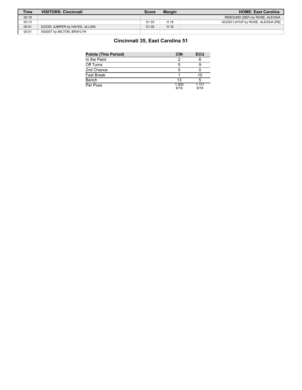| <b>Time</b> | <b>VISITORS: Cincinnati</b>    | Score | <b>Margin</b> | <b>HOME: East Carolina</b>        |
|-------------|--------------------------------|-------|---------------|-----------------------------------|
| 00:18       |                                |       |               | REBOUND (DEF) by ROSE, ALEXSIA    |
| 00:13       |                                | 51-33 | H 18          | GOOD! LAYUP by ROSE, ALEXSIA [FB] |
| 00:01       | GOOD! JUMPER by HAYES, JILLIAN | 51-35 | H 16          |                                   |
| 00:01       | ASSIST by MILTON, BRAYLYN      |       |               |                                   |

## **Cincinnati 35, East Carolina 51**

| Points (This Period) | <b>CIN</b>    | ECU           |
|----------------------|---------------|---------------|
| In the Paint         |               |               |
| Off Turns            |               |               |
| 2nd Chance           |               |               |
| Fast Break           |               |               |
| Bench                | 13            |               |
| Per Poss             | 1.000<br>8/16 | 1,111<br>9/18 |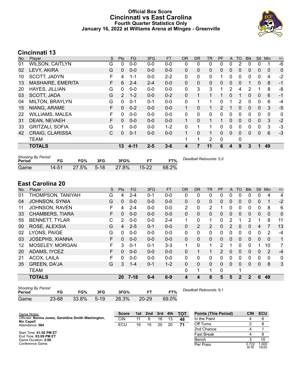### **Official Box Score Cincinnati vs East Carolina Fourth Quarter Statistics Only January 16, 2022 at Williams Arena at Minges - Greenville**



# **Cincinnati 13**

| No. | Player                   | S | <b>Pts</b>     | <b>FG</b> | 3FG     | <b>FT</b> | <b>OR</b>    | <b>DR</b>    | TR           | PF | $\mathsf{A}$ | TO       | <b>Blk</b> | <b>Stl</b>   | Min | $+/-$ |
|-----|--------------------------|---|----------------|-----------|---------|-----------|--------------|--------------|--------------|----|--------------|----------|------------|--------------|-----|-------|
| 01  | <b>WILSON, CAITLYN</b>   | G | 0              | $0 - 0$   | $0 - 0$ | $0 - 0$   | 0            | 0            | 0            | 0  | 0            | 2        | 0          | 0            |     | -6    |
| 02  | LEVY, AKIRA              | G | $\Omega$       | $0 - 0$   | $0 - 0$ | $0 - 0$   | 0            | $\mathbf{0}$ | 0            | 0  | $\mathbf{0}$ | 0        | 0          | 0            | 0   | 0     |
| 10  | SCOTT, JADYN             | F | 4              | $1 - 1$   | $0 - 0$ | $2 - 2$   | 0            | $\mathbf{0}$ | 0            | 1  | $\mathbf{0}$ | 0        | 0          | $\mathbf{0}$ | 4   | $-2$  |
| 13  | <b>MASHAIRE, EMERITA</b> | F | 6              | $2 - 4$   | $2 - 4$ | $0-0$     | 0            | $\mathbf{0}$ | 0            | 0  | $\Omega$     | 0        |            | $\mathbf{0}$ | 8   | $-1$  |
| 20  | <b>HAYES, JILLIAN</b>    | G | $\Omega$       | $0 - 0$   | $0 - 0$ | $0 - 0$   | $\mathbf{0}$ | 3            | 3            | 1  | 2            | 4        | 2          |              | 8   | -8    |
| 03  | SCOTT, JADA              | G | $\overline{2}$ | $1 - 2$   | $0 - 0$ | $0 - 2$   | $\Omega$     |              | 1            |    | $\Omega$     |          | 0          | $\mathbf{0}$ | 6   | $-1$  |
| 04  | <b>MILTON, BRAYLYN</b>   | G | 0              | $0 - 1$   | $0 - 1$ | $0 - 0$   | $\mathbf{0}$ |              | 1            | 0  |              | 2        | 0          | 0            | 6   | -4    |
| 15  | NIANG, ARAME             | F | 0              | $0 - 2$   | $0 - 0$ | $0 - 0$   | $\mathbf{1}$ | $\Omega$     | $\mathbf{1}$ | 2  | 1            | 0        | 0          | $\mathbf{0}$ | 3   | $-5$  |
| 22  | <b>WILLIAMS, MALEA</b>   | F | 0              | $0 - 0$   | $0 - 0$ | $0 - 0$   | 0            | $\mathbf{0}$ | 0            | 0  | 0            | 0        | 0          | 0            | 0   | 0     |
| 31  | DEAN, NEVAEH             | F | 0              | $0 - 0$   | $0 - 0$ | $0 - 0$   | $\mathbf{1}$ | $\mathbf{0}$ | $\mathbf{1}$ | 1  | $\Omega$     | 0        | 0          | $\Omega$     | 3   | $-2$  |
| 33  | <b>GRITZALI, SOFIA</b>   | G |                | $0 - 0$   | $0-0$   | $1 - 2$   | 0            |              | 1            | 0  | $\mathbf{0}$ | 0        | 0          | 0            | 3   | $-3$  |
| 42  | <b>CRAIG, CLARISSA</b>   | C | $\Omega$       | $0 - 1$   | $0 - 0$ | $0 - 0$   | 1            | $\Omega$     | 1            | 0  | $\Omega$     | $\Omega$ | 0          | $\Omega$     | 6   | $-3$  |
|     | <b>TEAM</b>              |   |                |           |         |           | 1            | 1            | 2            | 0  |              | 0        |            |              |     |       |
|     | <b>TOTALS</b>            |   | 13             | $4 - 11$  | $2 - 5$ | $3 - 6$   | 4            | 7            | 11           | 6  | 4            | 9        | 3          | 1            | 49  |       |

| <b>Shooting By Period</b><br>Period | FG        | FG%   | 3FG    | 3FG%  |           | FT%   | Deadball Rebounds: 5,0 |
|-------------------------------------|-----------|-------|--------|-------|-----------|-------|------------------------|
| Game                                | $14 - 51$ | 27.5% | $5-18$ | 27.8% | $15 - 22$ | 68.2% |                        |

# **East Carolina 20**

| No. | Player                 | S  | Pts             | <b>FG</b> | 3FG     | <b>FT</b> | <b>OR</b> | <b>DR</b>      | <b>TR</b>      | PF | A            | TO           | <b>Blk</b>    | Stl          | Min          | $+/-$ |
|-----|------------------------|----|-----------------|-----------|---------|-----------|-----------|----------------|----------------|----|--------------|--------------|---------------|--------------|--------------|-------|
| 01  | THOMPSON, TANIYAH      | G  | 4               | $2 - 4$   | $0 - 1$ | $0-0$     | 0         | 0              | 0              | 0  | 0            |              | 0             | 0            | 4            | 4     |
| 04  | <b>JOHNSON, SYNIA</b>  | G  | $\mathbf{0}$    | $0 - 0$   | $0 - 0$ | $0 - 0$   | $\Omega$  | 0              | $\Omega$       | 0  | $\mathbf{0}$ | 0            | 0             | $\mathbf{0}$ | $\mathbf{1}$ | $-2$  |
| 11  | JOHNSON, RAVEN         | F  | 4               | $2 - 4$   | $0 - 0$ | $0-0$     | 2         | 0              | 2              |    | 0            | 0            | 0             | 0            | 8            | 6     |
| 33  | <b>CHAMBERS, TIARA</b> | F  | 0               | $0 - 0$   | $0 - 0$ | $0 - 0$   | 0         | 0              | 0              | 0  | $\mathbf{0}$ | 0            | 0             | $\mathbf{0}$ | 0            | 0     |
| 55  | <b>BENNETT, TYLAR</b>  | С  | 2               | $0 - 0$   | $0 - 0$ | $2 - 4$   | 1         | 0              | $\mathbf{1}$   | 0  | 2            |              | $\mathcal{P}$ |              | 8            | 11    |
| 00  | ROSE, ALEXSIA          | G  | 4               | $2 - 5$   | $0 - 1$ | $0 - 0$   | 0         | $\overline{2}$ | $\overline{2}$ | 0  | 2            | $\Omega$     | 0             | 4            |              | 13    |
| 02  | LYONS, PAIGE           | G  | $\Omega$        | $0 - 0$   | $0 - 0$ | $0 - 0$   | 0         | 0              | $\mathbf{0}$   | 0  | 0            | $\Omega$     | 0             | 0            | 2            | $-4$  |
| 03  | JOSEPHS, XIANNA        | F  | $\Omega$        | $0 - 0$   | $0 - 0$ | $0 - 0$   | 0         | 0              | $\Omega$       | 0  | 0            | $\mathbf{0}$ | 0             | $\mathbf{0}$ | $\Omega$     | 1     |
| 12  | MOSELEY, MORGAN        | F  | 3               | $0 - 1$   | $0 - 1$ | $3 - 3$   | 1         | 0              | 1              | 2  |              | $\Omega$     | 0             |              | 10           | 7     |
| 20  | ADAMS, IYCEZ           | F  | 0               | $0 - 0$   | $0 - 0$ | $0 - 0$   | $\Omega$  | 1              | 1              | 2  | 0            | $\Omega$     | $\Omega$      | $\Omega$     | 2            | $-4$  |
| 21  | ACOX, LAILA            | F. | $\Omega$        | $0 - 0$   | $0 - 0$ | $0 - 0$   | 0         | 0              | $\mathbf{0}$   | 0  | 0            | $\Omega$     | 0             | $\mathbf{0}$ | 0            | 0     |
| 35  | <b>GREEN, DA'JA</b>    | G  | 3               | $1 - 4$   | $0 - 1$ | $1 - 2$   | $\Omega$  | 0              | $\Omega$       | 0  | $\mathbf{0}$ | $\Omega$     | $\Omega$      | $\Omega$     | 8            | 3     |
|     | TEAM                   |    |                 |           |         |           | 0         | 1              | 1              | 0  |              | 4            |               |              |              |       |
|     | <b>TOTALS</b>          |    | 20 <sub>2</sub> | $7 - 18$  | $0 - 4$ | $6-9$     | 4         | 4              | 8              | 5  | 5            | $\mathbf{2}$ | $\mathbf{2}$  | 6            | 49           |       |
|     |                        |    |                 |           |         |           |           |                |                |    |              |              |               |              |              |       |

| <b>Shooting By Period</b><br>Period | FG    | FG%   | 3FG      | 3FG%  |           | FT%   | Deadball Rebounds: 9,1 |
|-------------------------------------|-------|-------|----------|-------|-----------|-------|------------------------|
| Game                                | 23-68 | 33.8% | $5 - 19$ | 26.3% | $20 - 29$ | 69.0% |                        |

| Game Notes:                                                              | Score      | 1st l | 2nd | 3rd | 4th | <b>TOT</b> | <b>Points (This Period)</b> | <b>CIN</b>    | ECU           |
|--------------------------------------------------------------------------|------------|-------|-----|-----|-----|------------|-----------------------------|---------------|---------------|
| Officials: Norma Jones, Geraldine Smith Washington,<br><b>Nic Capell</b> | <b>CIN</b> |       |     | 16  | 13  | 48         | In the Paint                |               | 6             |
| Attendance: 584                                                          | ECU        | 16    | 15  | 20  | 20  | 71         | Off Turns                   |               |               |
|                                                                          |            |       |     |     |     |            | 2nd Chance                  |               |               |
| Start Time: 01:02 PM ET<br>End Time: 03:09 PM ET                         |            |       |     |     |     |            | <b>Fast Break</b>           |               |               |
| Game Duration: 2:06                                                      |            |       |     |     |     |            | Bench                       |               | 10            |
| Conference Game:                                                         |            |       |     |     |     |            | Per Poss                    | 0.722<br>6/18 | .000<br>10/20 |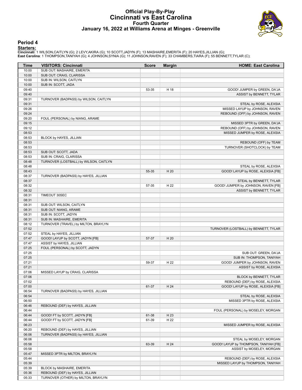### **Official Play-By-Play Cincinnati vs East Carolina Fourth Quarter January 16, 2022 at Williams Arena at Minges - Greenville**



#### **Period 4**

**Starters:**<br>Cincinnati: 1 WILSON,CAITLYN (G); 2 LEVY,AKIRA (G); 10 SCOTT,JADYN (F); 13 MASHAIRE,EMERITA (F); 20 HAYES,JILLIAN (G);<br>East Carolina: 1 THOMPSON,TANIYAH (G); 4 JOHNSON,SYNIA (G); 11 JOHNSON,RAVEN (F); 33 CHAMBE

| Time           | <b>VISITORS: Cincinnati</b>            | <b>Score</b> | <b>Margin</b> | <b>HOME: East Carolina</b>            |
|----------------|----------------------------------------|--------------|---------------|---------------------------------------|
| 10:00          | SUB OUT: MASHAIRE, EMERITA             |              |               |                                       |
| 10:00          | SUB OUT: CRAIG, CLARISSA               |              |               |                                       |
| 10:00          | SUB IN: WILSON, CAITLYN                |              |               |                                       |
| 10:00          | SUB IN: SCOTT, JADA                    |              |               |                                       |
| 09:40          |                                        | 53-35        | H 18          | GOOD! JUMPER by GREEN, DA'JA          |
| 09:40          |                                        |              |               | ASSIST by BENNETT, TYLAR              |
| 09:31          | TURNOVER (BADPASS) by WILSON, CAITLYN  |              |               |                                       |
| 09:31          |                                        |              |               | STEAL by ROSE, ALEXSIA                |
| 09:26          |                                        |              |               | MISSED LAYUP by JOHNSON, RAVEN        |
| 09:24          |                                        |              |               | REBOUND (OFF) by JOHNSON, RAVEN       |
| 09:20          | FOUL (PERSONAL) by NIANG, ARAME        |              |               |                                       |
| 09:15          |                                        |              |               | MISSED 3PTR by GREEN, DA'JA           |
| 09:12          |                                        |              |               | REBOUND (OFF) by JOHNSON, RAVEN       |
| 08:53          |                                        |              |               | MISSED JUMPER by ROSE, ALEXSIA        |
| 08:53          | BLOCK by HAYES, JILLIAN                |              |               |                                       |
| 08:53          |                                        |              |               | REBOUND (OFF) by TEAM                 |
| 08:53          |                                        |              |               | TURNOVER (SHOTCLOCK) by TEAM          |
| 08:53          | SUB OUT: SCOTT, JADA                   |              |               |                                       |
| 08:53          | SUB IN: CRAIG, CLARISSA                |              |               |                                       |
| 08:48          | TURNOVER (LOSTBALL) by WILSON, CAITLYN |              |               |                                       |
| 08:48          |                                        |              |               | STEAL by ROSE, ALEXSIA                |
| 08:43          |                                        | 55-35        | H 20          | GOOD! LAYUP by ROSE, ALEXSIA [FB]     |
| 08:37          | TURNOVER (BADPASS) by HAYES, JILLIAN   |              |               |                                       |
| 08:37          |                                        |              |               | STEAL by BENNETT, TYLAR               |
| 08:32          |                                        | 57-35        | H 22          | GOOD! JUMPER by JOHNSON, RAVEN [FB]   |
| 08:32          |                                        |              |               | ASSIST by BENNETT, TYLAR              |
| 08:31          | TIMEOUT 30SEC                          |              |               |                                       |
| 08:31          |                                        |              |               |                                       |
| 08:31          | SUB OUT: WILSON, CAITLYN               |              |               |                                       |
| 08:31          | SUB OUT: NIANG, ARAME                  |              |               |                                       |
| 08:31          | SUB IN: SCOTT, JADYN                   |              |               |                                       |
| 08:31          | SUB IN: MASHAIRE, EMERITA              |              |               |                                       |
| 08:12          |                                        |              |               |                                       |
| 07:52          | TURNOVER (TRAVEL) by MILTON, BRAYLYN   |              |               |                                       |
| 07:52          | STEAL by HAYES, JILLIAN                |              |               | TURNOVER (LOSTBALL) by BENNETT, TYLAR |
| 07:47          | GOOD! LAYUP by SCOTT, JADYN [FB]       | 57-37        | H 20          |                                       |
| 07:47          | ASSIST by HAYES, JILLIAN               |              |               |                                       |
| 07:25          | FOUL (PERSONAL) by SCOTT, JADYN        |              |               |                                       |
| 07:25          |                                        |              |               | SUB OUT: GREEN, DA'JA                 |
| 07:25          |                                        |              |               | SUB IN: THOMPSON, TANIYAH             |
|                |                                        |              | H 22          |                                       |
| 07:21<br>07:21 |                                        | 59-37        |               | GOOD! JUMPER by JOHNSON, RAVEN        |
|                |                                        |              |               | ASSIST by ROSE, ALEXSIA               |
| 07:06          | MISSED LAYUP by CRAIG, CLARISSA        |              |               |                                       |
| 07:06          |                                        |              |               | BLOCK by BENNETT, TYLAR               |
| 07:02          |                                        |              |               | REBOUND (DEF) by ROSE, ALEXSIA        |
| 07:00          |                                        | 61-37        | H 24          | GOOD! LAYUP by ROSE, ALEXSIA [FB]     |
| 06:54          | TURNOVER (BADPASS) by HAYES, JILLIAN   |              |               |                                       |
| 06:54          |                                        |              |               | STEAL by ROSE, ALEXSIA                |
| 06:50          |                                        |              |               | MISSED 3PTR by ROSE, ALEXSIA          |
| 06:46          | REBOUND (DEF) by HAYES, JILLIAN        |              |               |                                       |
| 06:44          |                                        |              |               | FOUL (PERSONAL) by MOSELEY, MORGAN    |
| 06:44          | GOOD! FT by SCOTT, JADYN [FB]          | 61-38        | H 23          |                                       |
| 06:44          | GOOD! FT by SCOTT, JADYN [FB]          | 61-39        | H 22          |                                       |
| 06:23          |                                        |              |               | MISSED JUMPER by ROSE, ALEXSIA        |
| 06:20          | REBOUND (DEF) by HAYES, JILLIAN        |              |               |                                       |
| 06:06          | TURNOVER (BADPASS) by HAYES, JILLIAN   |              |               |                                       |
| 06:06          |                                        |              |               | STEAL by MOSELEY, MORGAN              |
| 05:58          |                                        | 63-39        | H 24          | GOOD! LAYUP by THOMPSON, TANIYAH [FB] |
| 05:58          |                                        |              |               | ASSIST by MOSELEY, MORGAN             |
| 05:47          | MISSED 3PTR by MILTON, BRAYLYN         |              |               |                                       |
| 05:44          |                                        |              |               | REBOUND (DEF) by ROSE, ALEXSIA        |
| 05:39          |                                        |              |               | MISSED LAYUP by THOMPSON, TANIYAH     |
| 05:39          | BLOCK by MASHAIRE, EMERITA             |              |               |                                       |
| 05:36          | REBOUND (DEF) by HAYES, JILLIAN        |              |               |                                       |
| 05:33          | TURNOVER (OTHER) by MILTON, BRAYLYN    |              |               |                                       |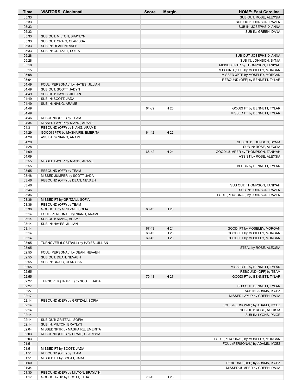| Time           | <b>VISITORS: Cincinnati</b>           | <b>Score</b> | <b>Margin</b> | <b>HOME: East Carolina</b>                                 |
|----------------|---------------------------------------|--------------|---------------|------------------------------------------------------------|
| 05:33          |                                       |              |               | SUB OUT: ROSE, ALEXSIA                                     |
| 05:33          |                                       |              |               | SUB OUT: JOHNSON, RAVEN                                    |
| 05:33          |                                       |              |               | SUB IN: JOSEPHS, XIANNA                                    |
| 05:33          |                                       |              |               | SUB IN: GREEN, DA'JA                                       |
| 05:33          | SUB OUT: MILTON, BRAYLYN              |              |               |                                                            |
| 05:33          | SUB OUT: CRAIG, CLARISSA              |              |               |                                                            |
| 05:33          | SUB IN: DEAN, NEVAEH                  |              |               |                                                            |
| 05:33          | SUB IN: GRITZALI, SOFIA               |              |               |                                                            |
| 05:28          |                                       |              |               | SUB OUT: JOSEPHS, XIANNA                                   |
| 05:28          |                                       |              |               | SUB IN: JOHNSON, SYNIA                                     |
| 05:18          |                                       |              |               | MISSED 3PTR by THOMPSON, TANIYAH                           |
| 05:15          |                                       |              |               | REBOUND (OFF) by MOSELEY, MORGAN                           |
| 05:08          |                                       |              |               | MISSED 3PTR by MOSELEY, MORGAN                             |
| 05:04          |                                       |              |               | REBOUND (OFF) by BENNETT, TYLAR                            |
| 04:49          | FOUL (PERSONAL) by HAYES, JILLIAN     |              |               |                                                            |
| 04:49          | SUB OUT: SCOTT, JADYN                 |              |               |                                                            |
| 04:49          | SUB OUT: HAYES, JILLIAN               |              |               |                                                            |
| 04:49          | SUB IN: SCOTT, JADA                   |              |               |                                                            |
| 04:49          | SUB IN: NIANG, ARAME                  |              |               |                                                            |
| 04:49          |                                       | 64-39        | H 25          | GOOD! FT by BENNETT, TYLAR                                 |
| 04:49          |                                       |              |               | MISSED FT by BENNETT, TYLAR                                |
| 04:46          | REBOUND (DEF) by TEAM                 |              |               |                                                            |
| 04:34          | MISSED LAYUP by NIANG, ARAME          |              |               |                                                            |
| 04:31          | REBOUND (OFF) by NIANG, ARAME         |              |               |                                                            |
| 04:29          | GOOD! 3PTR by MASHAIRE, EMERITA       | 64-42        | H 22          |                                                            |
| 04:29          | ASSIST by NIANG, ARAME                |              |               |                                                            |
| 04:28          |                                       |              |               | SUB OUT: JOHNSON, SYNIA                                    |
| 04:28          |                                       |              |               | SUB IN: ROSE, ALEXSIA                                      |
| 04:09          |                                       | 66-42        | H 24          | GOOD! JUMPER by THOMPSON, TANIYAH                          |
| 04:09          |                                       |              |               | ASSIST by ROSE, ALEXSIA                                    |
| 03:55          | MISSED LAYUP by NIANG, ARAME          |              |               |                                                            |
| 03:55          |                                       |              |               | BLOCK by BENNETT, TYLAR                                    |
| 03:55          | REBOUND (OFF) by TEAM                 |              |               |                                                            |
| 03:48          | MISSED JUMPER by SCOTT, JADA          |              |               |                                                            |
| 03:46          | REBOUND (OFF) by DEAN, NEVAEH         |              |               |                                                            |
| 03:46          |                                       |              |               | SUB OUT: THOMPSON, TANIYAH                                 |
| 03:46          |                                       |              |               | SUB IN: JOHNSON, RAVEN                                     |
| 03:36          |                                       |              |               | FOUL (PERSONAL) by JOHNSON, RAVEN                          |
| 03:36          | MISSED FT by GRITZALI, SOFIA          |              |               |                                                            |
| 03:36          | REBOUND (OFF) by TEAM                 |              |               |                                                            |
| 03:36          | GOOD! FT by GRITZALI, SOFIA           | 66-43        | H 23          |                                                            |
| 03:14          | FOUL (PERSONAL) by NIANG, ARAME       |              |               |                                                            |
| 03:14          | SUB OUT: NIANG, ARAME                 |              |               |                                                            |
| 03:14          | SUB IN: HAYES, JILLIAN                |              |               |                                                            |
| 03:14          |                                       | 67-43        | H 24          | GOOD! FT by MOSELEY, MORGAN                                |
| 03:14          |                                       | 68-43        | H 25          | GOOD! FT by MOSELEY, MORGAN<br>GOOD! FT by MOSELEY, MORGAN |
| 03:14          |                                       | 69-43        | H 26          |                                                            |
| 03:05          | TURNOVER (LOSTBALL) by HAYES, JILLIAN |              |               |                                                            |
| 03:05<br>02:55 | FOUL (PERSONAL) by DEAN, NEVAEH       |              |               | STEAL by ROSE, ALEXSIA                                     |
| 02:55          | SUB OUT: DEAN, NEVAEH                 |              |               |                                                            |
| 02:55          | SUB IN: CRAIG, CLARISSA               |              |               |                                                            |
| 02:55          |                                       |              |               | MISSED FT by BENNETT, TYLAR                                |
| 02:55          |                                       |              |               | REBOUND (OFF) by TEAM                                      |
| 02:55          |                                       | 70-43        | H 27          | GOOD! FT by BENNETT, TYLAR                                 |
| 02:27          | TURNOVER (TRAVEL) by SCOTT, JADA      |              |               |                                                            |
| 02:27          |                                       |              |               | SUB OUT: BENNETT, TYLAR                                    |
| 02:27          |                                       |              |               | SUB IN: ADAMS, IYCEZ                                       |
| 02:17          |                                       |              |               | MISSED LAYUP by GREEN, DA'JA                               |
| 02:14          | REBOUND (DEF) by GRITZALI, SOFIA      |              |               |                                                            |
| 02:14          |                                       |              |               | FOUL (PERSONAL) by ADAMS, IYCEZ                            |
| 02:14          |                                       |              |               | SUB OUT: ROSE, ALEXSIA                                     |
| 02:14          |                                       |              |               | SUB IN: LYONS, PAIGE                                       |
| 02:14          | SUB OUT: GRITZALI, SOFIA              |              |               |                                                            |
| 02:14          | SUB IN: MILTON, BRAYLYN               |              |               |                                                            |
| 02:04          | MISSED 3PTR by MASHAIRE, EMERITA      |              |               |                                                            |
| 02:03          | REBOUND (OFF) by CRAIG, CLARISSA      |              |               |                                                            |
| 02:03          |                                       |              |               | FOUL (PERSONAL) by MOSELEY, MORGAN                         |
| 01:51          |                                       |              |               | FOUL (PERSONAL) by ADAMS, IYCEZ                            |
| 01:51          | MISSED FT by SCOTT, JADA              |              |               |                                                            |
| 01:51          | REBOUND (OFF) by TEAM                 |              |               |                                                            |
| 01:51          | MISSED FT by SCOTT, JADA              |              |               |                                                            |
| 01:50          |                                       |              |               | REBOUND (DEF) by ADAMS, IYCEZ                              |
| 01:34          |                                       |              |               | MISSED JUMPER by GREEN, DA'JA                              |
| 01:30          | REBOUND (DEF) by MILTON, BRAYLYN      |              |               |                                                            |
| 01:17          | GOOD! LAYUP by SCOTT, JADA            | 70-45        | H 25          |                                                            |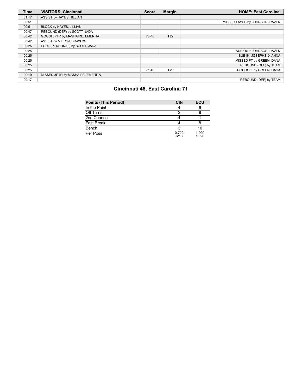| <b>Time</b> | <b>VISITORS: Cincinnati</b>      | <b>Score</b> | <b>Margin</b> | <b>HOME: East Carolina</b>     |
|-------------|----------------------------------|--------------|---------------|--------------------------------|
| 01:17       | ASSIST by HAYES, JILLIAN         |              |               |                                |
| 00:51       |                                  |              |               | MISSED LAYUP by JOHNSON, RAVEN |
| 00:51       | BLOCK by HAYES, JILLIAN          |              |               |                                |
| 00:47       | REBOUND (DEF) by SCOTT, JADA     |              |               |                                |
| 00:42       | GOOD! 3PTR by MASHAIRE, EMERITA  | 70-48        | H 22          |                                |
| 00:42       | ASSIST by MILTON, BRAYLYN        |              |               |                                |
| 00:25       | FOUL (PERSONAL) by SCOTT, JADA   |              |               |                                |
| 00:25       |                                  |              |               | SUB OUT: JOHNSON, RAVEN        |
| 00:25       |                                  |              |               | SUB IN: JOSEPHS, XIANNA        |
| 00:25       |                                  |              |               | MISSED FT by GREEN, DA'JA      |
| 00:25       |                                  |              |               | REBOUND (OFF) by TEAM          |
| 00:25       |                                  | 71-48        | H 23          | GOOD! FT by GREEN, DA'JA       |
| 00:19       | MISSED 3PTR by MASHAIRE, EMERITA |              |               |                                |
| 00:17       |                                  |              |               | REBOUND (DEF) by TEAM          |

# **Cincinnati 48, East Carolina 71**

| <b>Points (This Period)</b> | <b>CIN</b>    | ECU            |
|-----------------------------|---------------|----------------|
| In the Paint                |               |                |
| Off Turns                   |               |                |
| 2nd Chance                  |               |                |
| <b>Fast Break</b>           |               |                |
| Bench                       |               | 10             |
| Per Poss                    | 0.722<br>6/18 | 1.000<br>10/20 |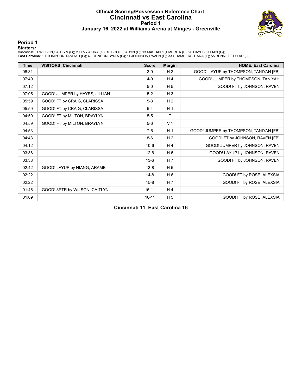#### **Official Scoring/Possession Reference Chart Cincinnati vs East Carolina Period 1 January 16, 2022 at Williams Arena at Minges - Greenville**



#### **Period 1**

**Starters:**<br>Cincinnati: 1 WILSON,CAITLYN (G); 2 LEVY,AKIRA (G); 10 SCOTT,JADYN (F); 13 MASHAIRE,EMERITA (F); 20 HAYES,JILLIAN (G);<br>East Carolina: 1 THOMPSON,TANIYAH (G); 4 JOHNSON,SYNIA (G); 11 JOHNSON,RAVEN (F); 33 CHAMBE

| <b>Time</b> | <b>VISITORS: Cincinnati</b>    | <b>Score</b> | <b>Margin</b>  | <b>HOME: East Carolina</b>             |
|-------------|--------------------------------|--------------|----------------|----------------------------------------|
| 08:31       |                                | $2 - 0$      | H <sub>2</sub> | GOOD! LAYUP by THOMPSON, TANIYAH [FB]  |
| 07:49       |                                | $4 - 0$      | H <sub>4</sub> | GOOD! JUMPER by THOMPSON, TANIYAH      |
| 07:12       |                                | $5-0$        | H <sub>5</sub> | GOOD! FT by JOHNSON, RAVEN             |
| 07:05       | GOOD! JUMPER by HAYES, JILLIAN | $5-2$        | $H_3$          |                                        |
| 05:59       | GOOD! FT by CRAIG, CLARISSA    | $5-3$        | H <sub>2</sub> |                                        |
| 05:59       | GOOD! FT by CRAIG, CLARISSA    | $5 - 4$      | H <sub>1</sub> |                                        |
| 04:59       | GOOD! FT by MILTON, BRAYLYN    | $5-5$        | Τ              |                                        |
| 04:59       | GOOD! FT by MILTON, BRAYLYN    | $5-6$        | V <sub>1</sub> |                                        |
| 04:53       |                                | $7-6$        | H <sub>1</sub> | GOOD! JUMPER by THOMPSON, TANIYAH [FB] |
| 04:43       |                                | $8-6$        | H <sub>2</sub> | GOOD! FT by JOHNSON, RAVEN [FB]        |
| 04:12       |                                | $10-6$       | H <sub>4</sub> | GOOD! JUMPER by JOHNSON, RAVEN         |
| 03:38       |                                | $12-6$       | H <sub>6</sub> | GOOD! LAYUP by JOHNSON, RAVEN          |
| 03:38       |                                | $13-6$       | H <sub>7</sub> | GOOD! FT by JOHNSON, RAVEN             |
| 02:42       | GOOD! LAYUP by NIANG, ARAME    | $13 - 8$     | H <sub>5</sub> |                                        |
| 02:22       |                                | $14 - 8$     | H <sub>6</sub> | GOOD! FT by ROSE, ALEXSIA              |
| 02:22       |                                | $15 - 8$     | H <sub>7</sub> | GOOD! FT by ROSE, ALEXSIA              |
| 01:46       | GOOD! 3PTR by WILSON, CAITLYN  | $15 - 11$    | H <sub>4</sub> |                                        |
| 01:09       |                                | $16 - 11$    | H <sub>5</sub> | GOOD! FT by ROSE, ALEXSIA              |

**Cincinnati 11, East Carolina 16**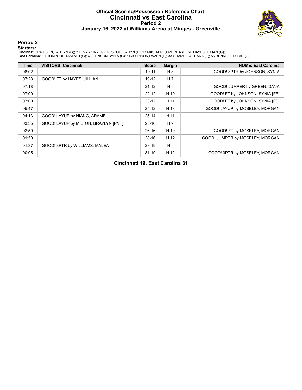#### **Official Scoring/Possession Reference Chart Cincinnati vs East Carolina Period 2 January 16, 2022 at Williams Arena at Minges - Greenville**



### **Period 2**

**Starters:**<br>Cincinnati: 1 WILSON,CAITLYN (G); 2 LEVY,AKIRA (G); 10 SCOTT,JADYN (F); 13 MASHAIRE,EMERITA (F); 20 HAYES,JILLIAN (G);<br>East Carolina: 1 THOMPSON,TANIYAH (G); 4 JOHNSON,SYNIA (G); 11 JOHNSON,RAVEN (F); 33 CHAMBE

| <b>Time</b> | <b>VISITORS: Cincinnati</b>          | <b>Score</b> | <b>Margin</b>  | <b>HOME: East Carolina</b>      |
|-------------|--------------------------------------|--------------|----------------|---------------------------------|
| 08:02       |                                      | $19 - 11$    | H 8            | GOOD! 3PTR by JOHNSON, SYNIA    |
| 07:28       | GOOD! FT by HAYES, JILLIAN           | 19-12        | H <sub>7</sub> |                                 |
| 07:18       |                                      | $21 - 12$    | H 9            | GOOD! JUMPER by GREEN, DA'JA    |
| 07:00       |                                      | $22 - 12$    | H 10           | GOOD! FT by JOHNSON, SYNIA [FB] |
| 07:00       |                                      | $23 - 12$    | H 11           | GOOD! FT by JOHNSON, SYNIA [FB] |
| 05:47       |                                      | $25 - 12$    | H 13           | GOOD! LAYUP by MOSELEY, MORGAN  |
| 04:13       | GOOD! LAYUP by NIANG, ARAME          | $25 - 14$    | H 11           |                                 |
| 03:35       | GOOD! LAYUP by MILTON, BRAYLYN [PNT] | $25 - 16$    | H 9            |                                 |
| 02:59       |                                      | $26-16$      | H 10           | GOOD! FT by MOSELEY, MORGAN     |
| 01:50       |                                      | $28-16$      | H 12           | GOOD! JUMPER by MOSELEY, MORGAN |
| 01:37       | GOOD! 3PTR by WILLIAMS, MALEA        | 28-19        | H 9            |                                 |
| 00:05       |                                      | $31 - 19$    | H 12           | GOOD! 3PTR by MOSELEY, MORGAN   |

**Cincinnati 19, East Carolina 31**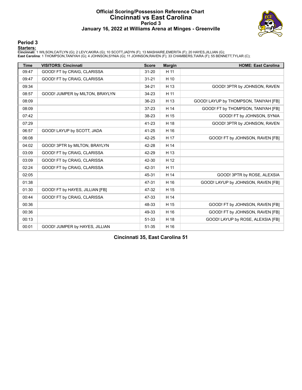#### **Official Scoring/Possession Reference Chart Cincinnati vs East Carolina Period 3 January 16, 2022 at Williams Arena at Minges - Greenville**



### **Period 3**

**Starters:**<br>Cincinnati: 1 WILSON,CAITLYN (G); 2 LEVY,AKIRA (G); 10 SCOTT,JADYN (F); 13 MASHAIRE,EMERITA (F); 20 HAYES,JILLIAN (G);<br>East Carolina: 1 THOMPSON,TANIYAH (G); 4 JOHNSON,SYNIA (G); 11 JOHNSON,RAVEN (F); 33 CHAMBE

| <b>Time</b> | <b>VISITORS: Cincinnati</b>     | <b>Score</b> | <b>Margin</b> | <b>HOME: East Carolina</b>            |
|-------------|---------------------------------|--------------|---------------|---------------------------------------|
| 09:47       | GOOD! FT by CRAIG, CLARISSA     | $31 - 20$    | H 11          |                                       |
| 09:47       | GOOD! FT by CRAIG, CLARISSA     | $31 - 21$    | H 10          |                                       |
| 09:34       |                                 | $34 - 21$    | H 13          | GOOD! 3PTR by JOHNSON, RAVEN          |
| 08:57       | GOOD! JUMPER by MILTON, BRAYLYN | 34-23        | H 11          |                                       |
| 08:09       |                                 | 36-23        | H 13          | GOOD! LAYUP by THOMPSON, TANIYAH [FB] |
| 08:09       |                                 | $37 - 23$    | H 14          | GOOD! FT by THOMPSON, TANIYAH [FB]    |
| 07:42       |                                 | 38-23        | H 15          | GOOD! FT by JOHNSON, SYNIA            |
| 07:29       |                                 | 41-23        | H 18          | GOOD! 3PTR by JOHNSON, RAVEN          |
| 06:57       | GOOD! LAYUP by SCOTT, JADA      | 41-25        | H 16          |                                       |
| 06:08       |                                 | 42-25        | H 17          | GOOD! FT by JOHNSON, RAVEN [FB]       |
| 04:02       | GOOD! 3PTR by MILTON, BRAYLYN   | 42-28        | H 14          |                                       |
| 03:09       | GOOD! FT by CRAIG, CLARISSA     | 42-29        | H 13          |                                       |
| 03:09       | GOOD! FT by CRAIG, CLARISSA     | 42-30        | H 12          |                                       |
| 02:24       | GOOD! FT by CRAIG, CLARISSA     | 42-31        | H 11          |                                       |
| 02:05       |                                 | 45-31        | H 14          | GOOD! 3PTR by ROSE, ALEXSIA           |
| 01:38       |                                 | 47-31        | H 16          | GOOD! LAYUP by JOHNSON, RAVEN [FB]    |
| 01:30       | GOOD! FT by HAYES, JILLIAN [FB] | 47-32        | H 15          |                                       |
| 00:44       | GOOD! FT by CRAIG, CLARISSA     | 47-33        | H 14          |                                       |
| 00:36       |                                 | 48-33        | H 15          | GOOD! FT by JOHNSON, RAVEN [FB]       |
| 00:36       |                                 | 49-33        | H 16          | GOOD! FT by JOHNSON, RAVEN [FB]       |
| 00:13       |                                 | 51-33        | H 18          | GOOD! LAYUP by ROSE, ALEXSIA [FB]     |
| 00:01       | GOOD! JUMPER by HAYES, JILLIAN  | 51-35        | H 16          |                                       |

**Cincinnati 35, East Carolina 51**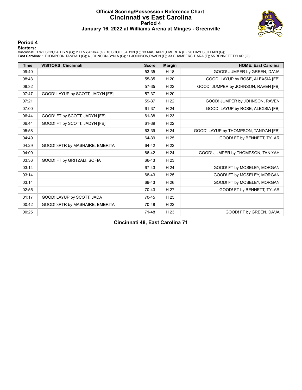#### **Official Scoring/Possession Reference Chart Cincinnati vs East Carolina Period 4 January 16, 2022 at Williams Arena at Minges - Greenville**



#### **Period 4**

**Starters:**<br>Cincinnati: 1 WILSON,CAITLYN (G); 2 LEVY,AKIRA (G); 10 SCOTT,JADYN (F); 13 MASHAIRE,EMERITA (F); 20 HAYES,JILLIAN (G);<br>East Carolina: 1 THOMPSON,TANIYAH (G); 4 JOHNSON,SYNIA (G); 11 JOHNSON,RAVEN (F); 33 CHAMBE

| <b>Time</b> | <b>VISITORS: Cincinnati</b>      | <b>Score</b> | <b>Margin</b> | <b>HOME: East Carolina</b>            |
|-------------|----------------------------------|--------------|---------------|---------------------------------------|
| 09:40       |                                  | 53-35        | H 18          | GOOD! JUMPER by GREEN, DA'JA          |
| 08:43       |                                  | 55-35        | H 20          | GOOD! LAYUP by ROSE, ALEXSIA [FB]     |
| 08:32       |                                  | 57-35        | H 22          | GOOD! JUMPER by JOHNSON, RAVEN [FB]   |
| 07:47       | GOOD! LAYUP by SCOTT, JADYN [FB] | 57-37        | H 20          |                                       |
| 07:21       |                                  | 59-37        | H 22          | GOOD! JUMPER by JOHNSON, RAVEN        |
| 07:00       |                                  | 61-37        | H 24          | GOOD! LAYUP by ROSE, ALEXSIA [FB]     |
| 06:44       | GOOD! FT by SCOTT, JADYN [FB]    | 61-38        | H 23          |                                       |
| 06:44       | GOOD! FT by SCOTT, JADYN [FB]    | 61-39        | H 22          |                                       |
| 05:58       |                                  | 63-39        | H 24          | GOOD! LAYUP by THOMPSON, TANIYAH [FB] |
| 04:49       |                                  | 64-39        | H 25          | GOOD! FT by BENNETT, TYLAR            |
| 04:29       | GOOD! 3PTR by MASHAIRE, EMERITA  | 64-42        | H 22          |                                       |
| 04:09       |                                  | 66-42        | H 24          | GOOD! JUMPER by THOMPSON, TANIYAH     |
| 03:36       | GOOD! FT by GRITZALI, SOFIA      | 66-43        | H 23          |                                       |
| 03:14       |                                  | 67-43        | H 24          | GOOD! FT by MOSELEY, MORGAN           |
| 03:14       |                                  | 68-43        | H 25          | GOOD! FT by MOSELEY, MORGAN           |
| 03:14       |                                  | 69-43        | H 26          | GOOD! FT by MOSELEY, MORGAN           |
| 02:55       |                                  | 70-43        | H 27          | GOOD! FT by BENNETT, TYLAR            |
| 01:17       | GOOD! LAYUP by SCOTT, JADA       | 70-45        | H 25          |                                       |
| 00:42       | GOOD! 3PTR by MASHAIRE, EMERITA  | 70-48        | H 22          |                                       |
| 00:25       |                                  | 71-48        | H 23          | GOOD! FT by GREEN, DA'JA              |

**Cincinnati 48, East Carolina 71**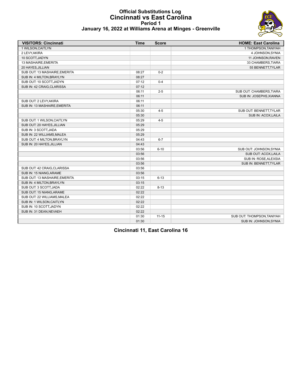# **Official Substitutions Log Cincinnati vs East Carolina Period 1**



| January 16, 2022 at Williams Arena at Minges - Greenville |  |  |
|-----------------------------------------------------------|--|--|
|-----------------------------------------------------------|--|--|

| <b>VISITORS: Cincinnati</b>   | <b>Time</b> | <b>Score</b> | <b>HOME: East Carolina</b> |
|-------------------------------|-------------|--------------|----------------------------|
| 1 WILSON, CAITLYN             |             |              | 1 THOMPSON, TANIYAH        |
| 2 LEVY, AKIRA                 |             |              | 4 JOHNSON, SYNIA           |
| 10 SCOTT, JADYN               |             |              | 11 JOHNSON, RAVEN          |
| 13 MASHAIRE, EMERITA          |             |              | 33 CHAMBERS TIARA          |
| 20 HAYES, JILLIAN             |             |              | 55 BENNETT, TYLAR          |
| SUB OUT: 13 MASHAIRE.EMERITA  | 08:27       | $0 - 2$      |                            |
| SUB IN: 4 MILTON, BRAYLYN     | 08:27       |              |                            |
| SUB OUT: 10 SCOTT, JADYN      | 07:12       | $0 - 4$      |                            |
| SUB IN: 42 CRAIG, CLARISSA    | 07:12       |              |                            |
|                               | 06:11       | $2 - 5$      | SUB OUT: CHAMBERS, TIARA   |
|                               | 06:11       |              | SUB IN: JOSEPHS, XIANNA    |
| SUB OUT: 2 LEVY, AKIRA        | 06:11       |              |                            |
| SUB IN: 13 MASHAIRE, EMERITA  | 06:11       |              |                            |
|                               | 05:30       | $4 - 5$      | SUB OUT: BENNETT, TYLAR    |
|                               | 05:30       |              | SUB IN: ACOX, LAILA        |
| SUB OUT: 1 WILSON, CAITLYN    | 05:29       | $4 - 5$      |                            |
| SUB OUT: 20 HAYES, JILLIAN    | 05:29       |              |                            |
| SUB IN: 3 SCOTT, JADA         | 05:29       |              |                            |
| SUB IN: 22 WILLIAMS, MALEA    | 05:29       |              |                            |
| SUB OUT: 4 MILTON, BRAYLYN    | 04:43       | $6 - 7$      |                            |
| SUB IN: 20 HAYES, JILLIAN     | 04:43       |              |                            |
|                               | 03:56       | $6 - 10$     | SUB OUT: JOHNSON, SYNIA    |
|                               | 03:56       |              | SUB OUT: ACOX, LAILA       |
|                               | 03:56       |              | SUB IN: ROSE, ALEXSIA      |
|                               | 03:56       |              | SUB IN: BENNETT, TYLAR     |
| SUB OUT: 42 CRAIG, CLARISSA   | 03:56       |              |                            |
| SUB IN: 15 NIANG, ARAME       | 03:56       |              |                            |
| SUB OUT: 13 MASHAIRE, EMERITA | 03:15       | $6 - 13$     |                            |
| SUB IN: 4 MILTON, BRAYLYN     | 03:15       |              |                            |
| SUB OUT: 3 SCOTT, JADA        | 02:22       | $8 - 13$     |                            |
| SUB OUT: 15 NIANG, ARAME      | 02:22       |              |                            |
| SUB OUT: 22 WILLIAMS, MALEA   | 02:22       |              |                            |
| SUB IN: 1 WILSON, CAITLYN     | 02:22       |              |                            |
| SUB IN: 10 SCOTT, JADYN       | 02:22       |              |                            |
| SUB IN: 31 DEAN, NEVAEH       | 02:22       |              |                            |
|                               | 01:30       | $11 - 15$    | SUB OUT: THOMPSON, TANIYAH |
|                               | 01:30       |              | SUB IN: JOHNSON, SYNIA     |

**Cincinnati 11, East Carolina 16**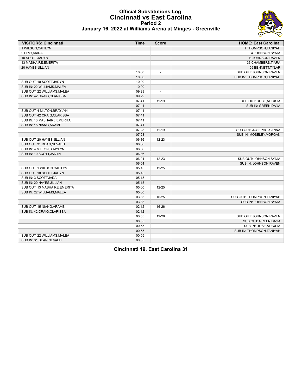#### **Official Substitutions Log Cincinnati vs East Carolina Period 2 January 16, 2022 at Williams Arena at Minges - Greenville**



| <b>VISITORS: Cincinnati</b>   | <b>Time</b> | <b>Score</b>             | <b>HOME: East Carolina</b> |
|-------------------------------|-------------|--------------------------|----------------------------|
| 1 WILSON, CAITLYN             |             |                          | 1 THOMPSON, TANIYAH        |
| 2 LEVY, AKIRA                 |             |                          | 4 JOHNSON, SYNIA           |
| 10 SCOTT, JADYN               |             |                          | 11 JOHNSON, RAVEN          |
| 13 MASHAIRE, EMERITA          |             |                          | 33 CHAMBERS, TIARA         |
| 20 HAYES, JILLIAN             |             |                          | 55 BENNETT, TYLAR          |
|                               | 10:00       | $\overline{a}$           | SUB OUT: JOHNSON, RAVEN    |
|                               | 10:00       |                          | SUB IN: THOMPSON, TANIYAH  |
| SUB OUT: 10 SCOTT, JADYN      | 10:00       |                          |                            |
| SUB IN: 22 WILLIAMS, MALEA    | 10:00       |                          |                            |
| SUB OUT: 22 WILLIAMS, MALEA   | 09:29       | $\overline{\phantom{a}}$ |                            |
| SUB IN: 42 CRAIG, CLARISSA    | 09:29       |                          |                            |
|                               | 07:41       | $11 - 19$                | SUB OUT: ROSE, ALEXSIA     |
|                               | 07:41       |                          | SUB IN: GREEN, DA'JA       |
| SUB OUT: 4 MILTON, BRAYLYN    | 07:41       |                          |                            |
| SUB OUT: 42 CRAIG, CLARISSA   | 07:41       |                          |                            |
| SUB IN: 13 MASHAIRE, EMERITA  | 07:41       |                          |                            |
| SUB IN: 15 NIANG, ARAME       | 07:41       |                          |                            |
|                               | 07:28       | $11 - 19$                | SUB OUT: JOSEPHS, XIANNA   |
|                               | 07:28       |                          | SUB IN: MOSELEY, MORGAN    |
| SUB OUT: 20 HAYES, JILLIAN    | 06:36       | 12-23                    |                            |
| SUB OUT: 31 DEAN, NEVAEH      | 06:36       |                          |                            |
| SUB IN: 4 MILTON, BRAYLYN     | 06:36       |                          |                            |
| SUB IN: 10 SCOTT, JADYN       | 06:36       |                          |                            |
|                               | 06:04       | 12-23                    | SUB OUT: JOHNSON, SYNIA    |
|                               | 06:04       |                          | SUB IN: JOHNSON, RAVEN     |
| SUB OUT: 1 WILSON, CAITLYN    | 05:15       | $12 - 25$                |                            |
| SUB OUT: 10 SCOTT, JADYN      | 05:15       |                          |                            |
| SUB IN: 3 SCOTT, JADA         | 05:15       |                          |                            |
| SUB IN: 20 HAYES, JILLIAN     | 05:15       |                          |                            |
| SUB OUT: 13 MASHAIRE, EMERITA | 05:00       | $12 - 25$                |                            |
| SUB IN: 22 WILLIAMS, MALEA    | 05:00       |                          |                            |
|                               | 03:33       | 16-25                    | SUB OUT: THOMPSON, TANIYAH |
|                               | 03:33       |                          | SUB IN: JOHNSON.SYNIA      |
| SUB OUT: 15 NIANG, ARAME      | 02:12       | 16-26                    |                            |
| SUB IN: 42 CRAIG, CLARISSA    | 02:12       |                          |                            |
|                               | 00:55       | 19-28                    | SUB OUT: JOHNSON, RAVEN    |
|                               | 00:55       |                          | SUB OUT: GREEN, DA'JA      |
|                               | 00:55       |                          | SUB IN: ROSE, ALEXSIA      |
|                               | 00:55       |                          | SUB IN: THOMPSON, TANIYAH  |
| SUB OUT: 22 WILLIAMS, MALEA   | 00:55       |                          |                            |
| SUB IN: 31 DEAN, NEVAEH       | 00:55       |                          |                            |

**Cincinnati 19, East Carolina 31**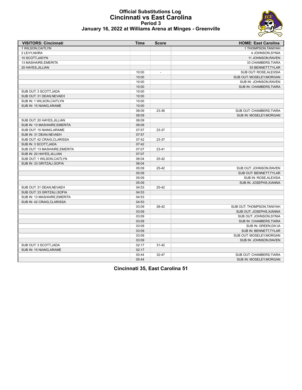# **Official Substitutions Log Cincinnati vs East Carolina Period 3**



| January 16, 2022 at Williams Arena at Minges - Greenville |  |  |
|-----------------------------------------------------------|--|--|
|-----------------------------------------------------------|--|--|

| <b>VISITORS: Cincinnati</b>   | Time  | <b>Score</b>   | <b>HOME: East Carolina</b> |
|-------------------------------|-------|----------------|----------------------------|
| 1 WILSON, CAITLYN             |       |                | 1 THOMPSON, TANIYAH        |
| 2 LEVY, AKIRA                 |       |                | 4 JOHNSON, SYNIA           |
| 10 SCOTT, JADYN               |       |                | 11 JOHNSON, RAVEN          |
| 13 MASHAIRE, EMERITA          |       |                | 33 CHAMBERS, TIARA         |
| 20 HAYES, JILLIAN             |       |                | 55 BENNETT, TYLAR          |
|                               | 10:00 | $\overline{a}$ | SUB OUT: ROSE, ALEXSIA     |
|                               | 10:00 |                | SUB OUT: MOSELEY, MORGAN   |
|                               | 10:00 |                | SUB IN: JOHNSON, RAVEN     |
|                               | 10:00 |                | SUB IN: CHAMBERS, TIARA    |
| SUB OUT: 3 SCOTT, JADA        | 10:00 |                |                            |
| SUB OUT: 31 DEAN, NEVAEH      | 10:00 |                |                            |
| SUB IN: 1 WILSON, CAITLYN     | 10:00 |                |                            |
| SUB IN: 15 NIANG, ARAME       | 10:00 |                |                            |
|                               | 08:09 | 23-36          | SUB OUT: CHAMBERS, TIARA   |
|                               | 08:09 |                | SUB IN: MOSELEY, MORGAN    |
| SUB OUT: 20 HAYES, JILLIAN    | 08:09 |                |                            |
| SUB IN: 13 MASHAIRE, EMERITA  | 08:09 |                |                            |
| SUB OUT: 15 NIANG, ARAME      | 07:57 | 23-37          |                            |
| SUB IN: 31 DEAN, NEVAEH       | 07:57 |                |                            |
| SUB OUT: 42 CRAIG CLARISSA    | 07:42 | 23-37          |                            |
| SUB IN: 3 SCOTT, JADA         | 07:42 |                |                            |
| SUB OUT: 13 MASHAIRE, EMERITA | 07:07 | $23 - 41$      |                            |
| SUB IN: 20 HAYES, JILLIAN     | 07:07 |                |                            |
| SUB OUT: 1 WILSON, CAITLYN    | 06:04 | 25-42          |                            |
| SUB IN: 33 GRITZALI, SOFIA    | 06:04 |                |                            |
|                               | 05:09 | 25-42          | SUB OUT: JOHNSON, RAVEN    |
|                               | 05:09 |                | SUB OUT: BENNETT, TYLAR    |
|                               | 05:09 |                | SUB IN: ROSE, ALEXSIA      |
|                               | 05:09 |                | SUB IN: JOSEPHS, XIANNA    |
| SUB OUT: 31 DEAN, NEVAEH      | 04:53 | 25-42          |                            |
| SUB OUT: 33 GRITZALI, SOFIA   | 04:53 |                |                            |
| SUB IN: 13 MASHAIRE, EMERITA  | 04:53 |                |                            |
| SUB IN: 42 CRAIG, CLARISSA    | 04:53 |                |                            |
|                               | 03:09 | 28-42          | SUB OUT: THOMPSON, TANIYAH |
|                               | 03:09 |                | SUB OUT: JOSEPHS, XIANNA   |
|                               | 03:09 |                | SUB OUT: JOHNSON, SYNIA    |
|                               | 03:09 |                | SUB IN: CHAMBERS, TIARA    |
|                               | 03:09 |                | SUB IN: GREEN, DA'JA       |
|                               | 03:09 |                | SUB IN: BENNETT, TYLAR     |
|                               | 03:09 |                | SUB OUT: MOSELEY, MORGAN   |
|                               | 03:09 |                | SUB IN: JOHNSON, RAVEN     |
| SUB OUT: 3 SCOTT, JADA        | 02:17 | $31 - 42$      |                            |
| SUB IN: 15 NIANG.ARAME        | 02:17 |                |                            |
|                               | 00:44 | 32-47          | SUB OUT: CHAMBERS, TIARA   |
|                               | 00:44 |                | SUB IN: MOSELEY.MORGAN     |
|                               |       |                |                            |

**Cincinnati 35, East Carolina 51**